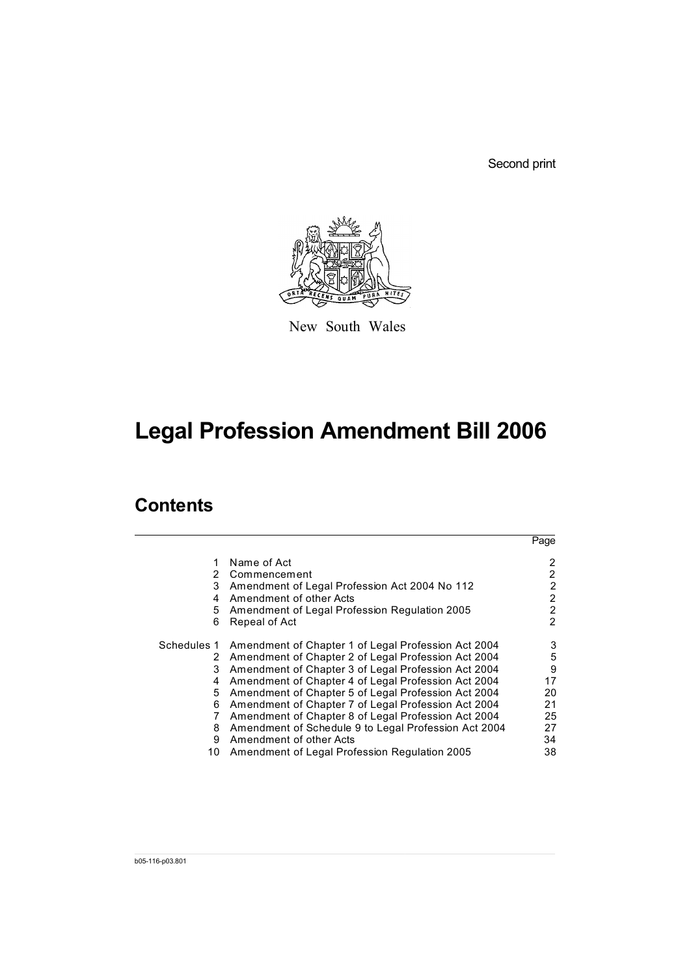Second print



New South Wales

# **Legal Profession Amendment Bill 2006**

# **Contents**

|    |                                                                 | Page           |
|----|-----------------------------------------------------------------|----------------|
| 1  | Name of Act                                                     | 2              |
| 2  | Commencement                                                    | $\overline{2}$ |
| 3  | Amendment of Legal Profession Act 2004 No 112                   | 2              |
| 4  | Amendment of other Acts                                         | 2              |
| 5  | Amendment of Legal Profession Regulation 2005                   | 2              |
| 6  | Repeal of Act                                                   | 2              |
|    | Schedules 1 Amendment of Chapter 1 of Legal Profession Act 2004 | 3              |
| 2  | Amendment of Chapter 2 of Legal Profession Act 2004             | 5              |
| 3  | Amendment of Chapter 3 of Legal Profession Act 2004             | 9              |
| 4  | Amendment of Chapter 4 of Legal Profession Act 2004             | 17             |
| 5  | Amendment of Chapter 5 of Legal Profession Act 2004             | 20             |
| 6  | Amendment of Chapter 7 of Legal Profession Act 2004             | 21             |
|    | Amendment of Chapter 8 of Legal Profession Act 2004             | 25             |
| 8  | Amendment of Schedule 9 to Legal Profession Act 2004            | 27             |
| 9  | Amendment of other Acts                                         | 34             |
| 10 | Amendment of Legal Profession Regulation 2005                   | 38             |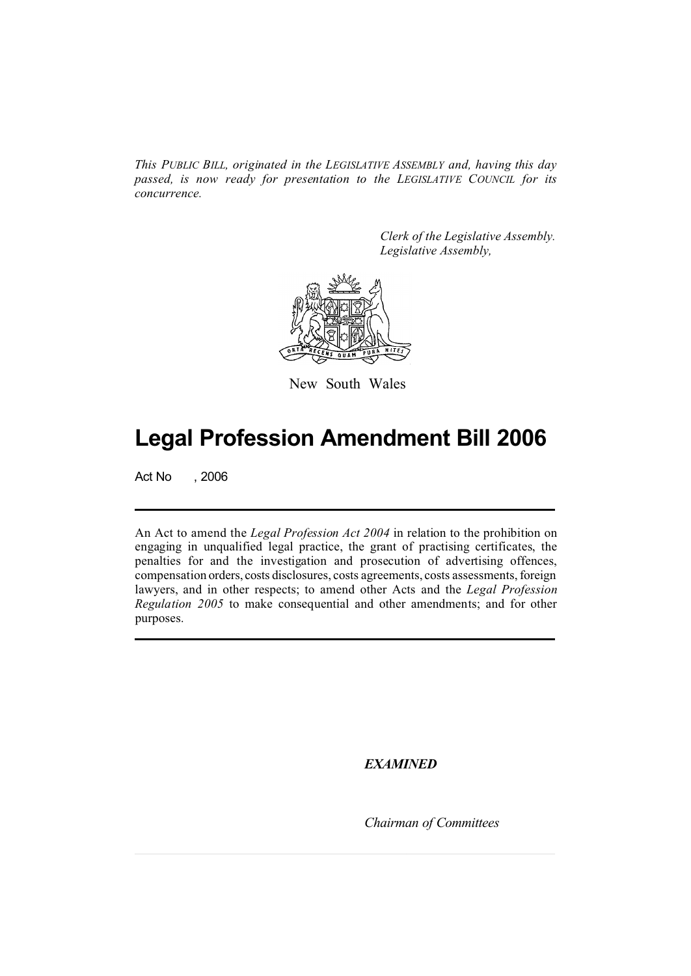*This PUBLIC BILL, originated in the LEGISLATIVE ASSEMBLY and, having this day passed, is now ready for presentation to the LEGISLATIVE COUNCIL for its concurrence.*

> *Clerk of the Legislative Assembly. Legislative Assembly,*



New South Wales

# **Legal Profession Amendment Bill 2006**

Act No , 2006

An Act to amend the *Legal Profession Act 2004* in relation to the prohibition on engaging in unqualified legal practice, the grant of practising certificates, the penalties for and the investigation and prosecution of advertising offences, compensation orders, costs disclosures, costs agreements, costs assessments, foreign lawyers, and in other respects; to amend other Acts and the *Legal Profession Regulation 2005* to make consequential and other amendments; and for other purposes.

*EXAMINED*

*Chairman of Committees*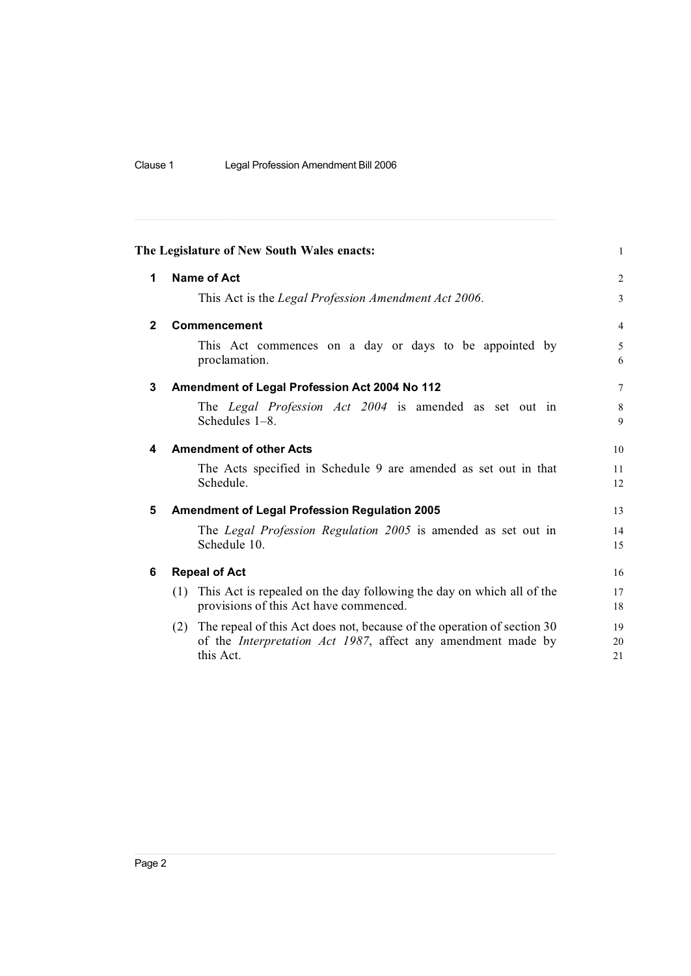|              | The Legislature of New South Wales enacts:                                                                                                                          | $\mathbf{1}$   |
|--------------|---------------------------------------------------------------------------------------------------------------------------------------------------------------------|----------------|
| 1            | <b>Name of Act</b>                                                                                                                                                  | $\overline{2}$ |
|              | This Act is the Legal Profession Amendment Act 2006.                                                                                                                | 3              |
| $\mathbf{2}$ | <b>Commencement</b>                                                                                                                                                 | $\overline{4}$ |
|              | This Act commences on a day or days to be appointed by<br>proclamation.                                                                                             | 5<br>6         |
| 3            | Amendment of Legal Profession Act 2004 No 112                                                                                                                       | $\tau$         |
|              | The Legal Profession Act 2004 is amended as set out in<br>Schedules 1-8.                                                                                            | 8<br>9         |
| 4            | <b>Amendment of other Acts</b>                                                                                                                                      | 10             |
|              | The Acts specified in Schedule 9 are amended as set out in that<br>Schedule.                                                                                        | 11<br>12       |
| 5            | <b>Amendment of Legal Profession Regulation 2005</b>                                                                                                                | 13             |
|              | The Legal Profession Regulation 2005 is amended as set out in<br>Schedule 10.                                                                                       | 14<br>15       |
| 6            | <b>Repeal of Act</b>                                                                                                                                                | 16             |
|              | This Act is repealed on the day following the day on which all of the<br>(1)<br>provisions of this Act have commenced.                                              | 17<br>18       |
|              | The repeal of this Act does not, because of the operation of section 30<br>(2)<br>of the <i>Interpretation Act 1987</i> , affect any amendment made by<br>this Act. | 19<br>20<br>21 |
|              |                                                                                                                                                                     |                |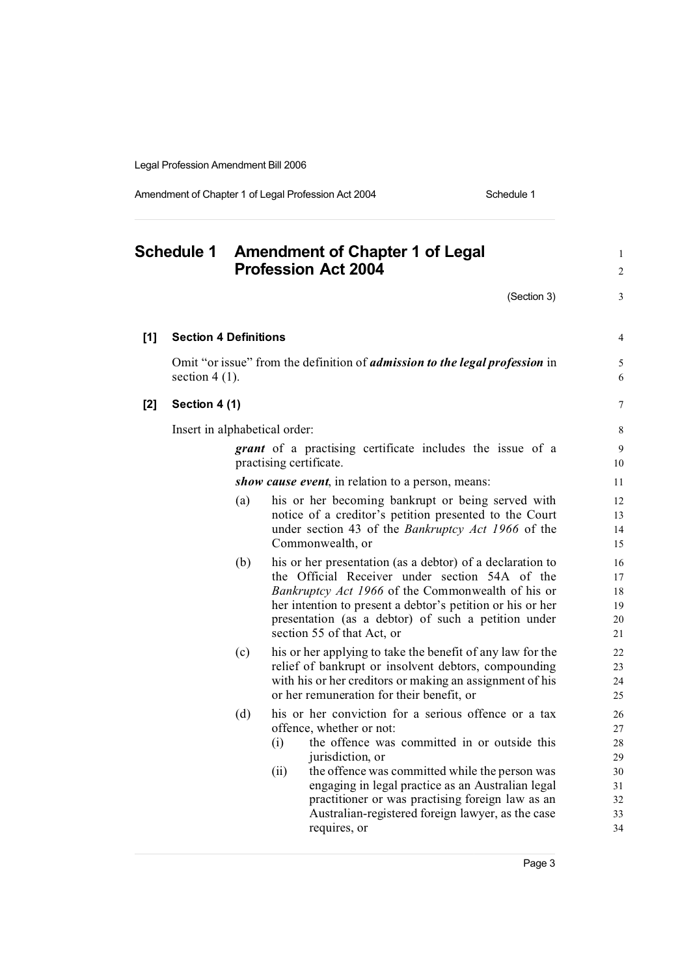Amendment of Chapter 1 of Legal Profession Act 2004 Schedule 1

**Schedule 1 Amendment of Chapter 1 of Legal** <sup>1</sup> **Profession Act 2004** <sup>2</sup>  $(Section 3)$  3 **[1] Section 4 Definitions** 4 Omit "or issue" from the definition of *admission to the legal profession* in 5 section 4 (1).  $\qquad \qquad 6$ **[2] Section 4 (1)** 7 Insert in alphabetical order: 8 **grant** of a practising certificate includes the issue of a 9 practising certificate. 10 *show cause event*, in relation to a person, means: 11 (a) his or her becoming bankrupt or being served with 12 notice of a creditor's petition presented to the Court 13 under section 43 of the *Bankruptcy Act 1966* of the 14 Commonwealth, or 15 (b) his or her presentation (as a debtor) of a declaration to 16 the Official Receiver under section 54A of the 17 *Bankruptcy Act 1966* of the Commonwealth of his or 18 her intention to present a debtor's petition or his or her 19 presentation (as a debtor) of such a petition under 20 section 55 of that Act, or 21 (c) his or her applying to take the benefit of any law for the 22 relief of bankrupt or insolvent debtors, compounding 23 with his or her creditors or making an assignment of his 24 or her remuneration for their benefit, or 25 (d) his or her conviction for a serious offence or a tax 26 offence, whether or not: 27<br>(i) the offence was committed in or outside this 28 the offence was committed in or outside this 28 jurisdiction, or 29 (ii) the offence was committed while the person was  $30$ engaging in legal practice as an Australian legal 31 practitioner or was practising foreign law as an 32 Australian-registered foreign lawyer, as the case 33 requires, or 34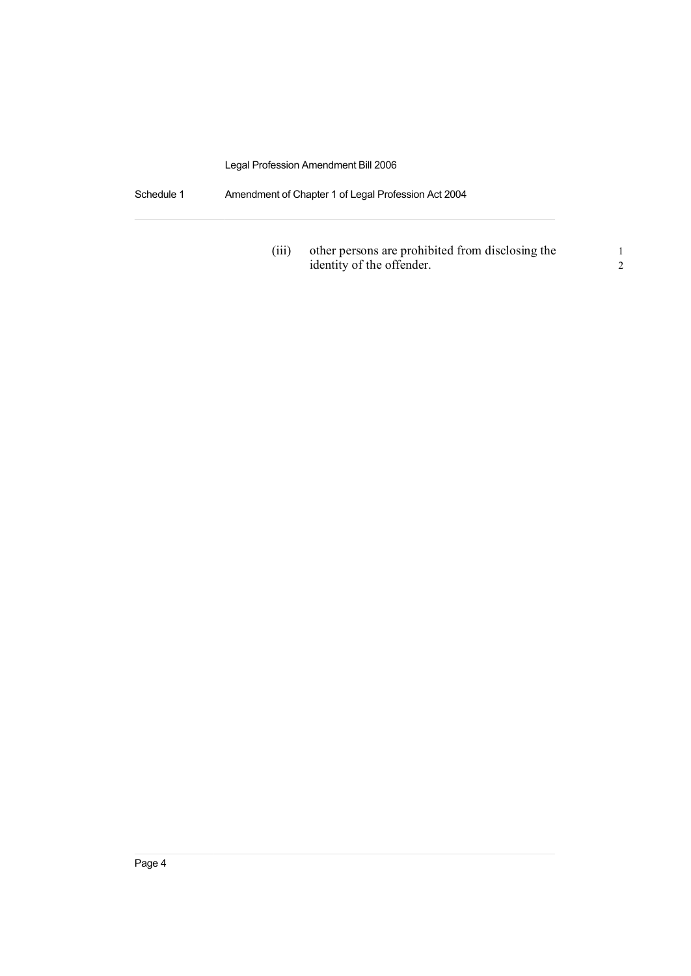Schedule 1 Amendment of Chapter 1 of Legal Profession Act 2004

(iii) other persons are prohibited from disclosing the 1 identity of the offender. 2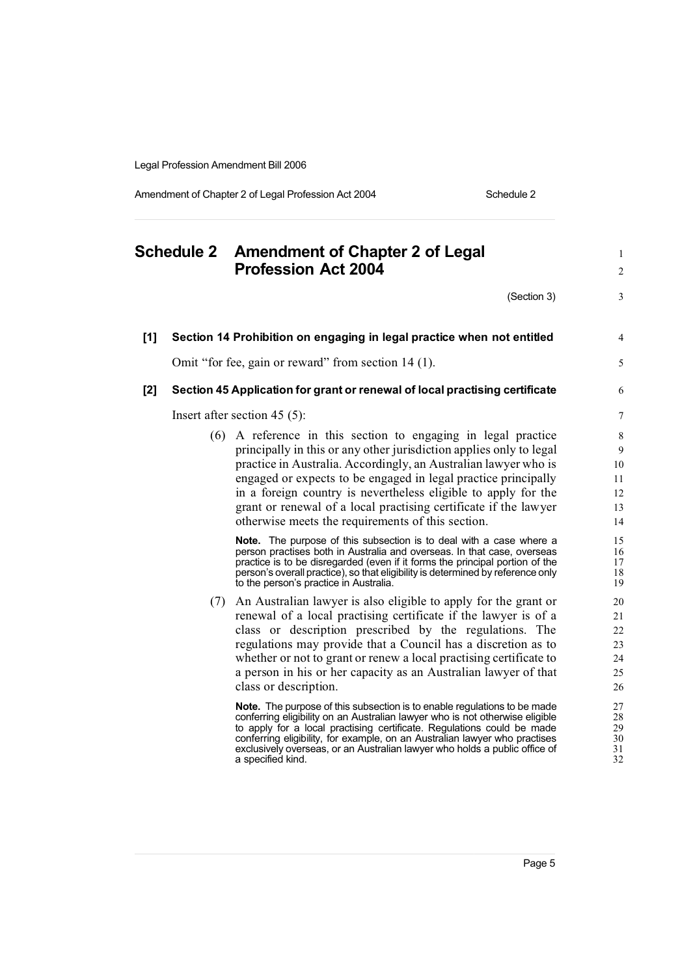Amendment of Chapter 2 of Legal Profession Act 2004 Schedule 2

|       |  | Schedule 2 Amendment of Chapter 2 of Legal<br><b>Profession Act 2004</b>                                                                                                                                                                                                                                                                                                                                                                                             |                                        |  |
|-------|--|----------------------------------------------------------------------------------------------------------------------------------------------------------------------------------------------------------------------------------------------------------------------------------------------------------------------------------------------------------------------------------------------------------------------------------------------------------------------|----------------------------------------|--|
|       |  | (Section 3)                                                                                                                                                                                                                                                                                                                                                                                                                                                          | 3                                      |  |
| $[1]$ |  | Section 14 Prohibition on engaging in legal practice when not entitled                                                                                                                                                                                                                                                                                                                                                                                               | 4                                      |  |
|       |  | Omit "for fee, gain or reward" from section 14 (1).                                                                                                                                                                                                                                                                                                                                                                                                                  | 5                                      |  |
| $[2]$ |  | Section 45 Application for grant or renewal of local practising certificate                                                                                                                                                                                                                                                                                                                                                                                          | 6                                      |  |
|       |  | Insert after section 45 $(5)$ :                                                                                                                                                                                                                                                                                                                                                                                                                                      | 7                                      |  |
|       |  | (6) A reference in this section to engaging in legal practice<br>principally in this or any other jurisdiction applies only to legal<br>practice in Australia. Accordingly, an Australian lawyer who is<br>engaged or expects to be engaged in legal practice principally<br>in a foreign country is nevertheless eligible to apply for the<br>grant or renewal of a local practising certificate if the lawyer<br>otherwise meets the requirements of this section. | 8<br>9<br>10<br>11<br>12<br>13<br>14   |  |
|       |  | Note. The purpose of this subsection is to deal with a case where a<br>person practises both in Australia and overseas. In that case, overseas<br>practice is to be disregarded (even if it forms the principal portion of the<br>person's overall practice), so that eligibility is determined by reference only<br>to the person's practice in Australia.                                                                                                          | 15<br>16<br>17<br>18<br>19             |  |
|       |  | (7) An Australian lawyer is also eligible to apply for the grant or<br>renewal of a local practising certificate if the lawyer is of a<br>class or description prescribed by the regulations. The<br>regulations may provide that a Council has a discretion as to<br>whether or not to grant or renew a local practising certificate to<br>a person in his or her capacity as an Australian lawyer of that<br>class or description.                                 | 20<br>21<br>22<br>23<br>24<br>25<br>26 |  |
|       |  | Note. The purpose of this subsection is to enable regulations to be made<br>conferring eligibility on an Australian lawyer who is not otherwise eligible<br>to apply for a local practising certificate. Regulations could be made<br>conferring eligibility, for example, on an Australian lawyer who practises<br>exclusively overseas, or an Australian lawyer who holds a public office of<br>a specified kind.                                                  | 27<br>28<br>29<br>30<br>31<br>32       |  |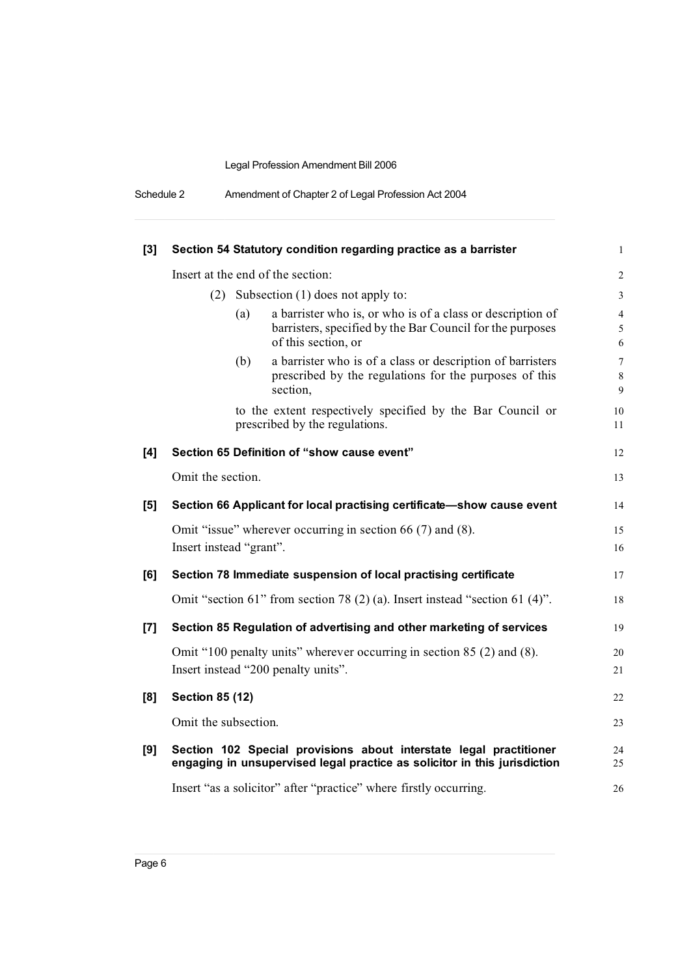| Schedule 2 | Amendment of Chapter 2 of Legal Profession Act 2004 |  |
|------------|-----------------------------------------------------|--|
|------------|-----------------------------------------------------|--|

| [3]   |                         |     | Section 54 Statutory condition regarding practice as a barrister                                                                                | $\mathbf{1}$                                  |
|-------|-------------------------|-----|-------------------------------------------------------------------------------------------------------------------------------------------------|-----------------------------------------------|
|       |                         |     | Insert at the end of the section:                                                                                                               | $\sqrt{2}$                                    |
|       | (2)                     |     | Subsection (1) does not apply to:                                                                                                               | $\overline{3}$                                |
|       |                         | (a) | a barrister who is, or who is of a class or description of<br>barristers, specified by the Bar Council for the purposes<br>of this section, or  | $\overline{4}$<br>$\mathfrak s$<br>$\sqrt{6}$ |
|       |                         | (b) | a barrister who is of a class or description of barristers<br>prescribed by the regulations for the purposes of this<br>section,                | $\boldsymbol{7}$<br>$\,8\,$<br>9              |
|       |                         |     | to the extent respectively specified by the Bar Council or<br>prescribed by the regulations.                                                    | 10<br>11                                      |
| [4]   |                         |     | Section 65 Definition of "show cause event"                                                                                                     | 12                                            |
|       | Omit the section.       |     |                                                                                                                                                 | 13                                            |
| [5]   |                         |     | Section 66 Applicant for local practising certificate-show cause event                                                                          | 14                                            |
|       | Insert instead "grant". |     | Omit "issue" wherever occurring in section 66 (7) and (8).                                                                                      | 15<br>16                                      |
| [6]   |                         |     | Section 78 Immediate suspension of local practising certificate                                                                                 | 17                                            |
|       |                         |     | Omit "section 61" from section 78 $(2)$ (a). Insert instead "section 61 $(4)$ ".                                                                | 18                                            |
| $[7]$ |                         |     | Section 85 Regulation of advertising and other marketing of services                                                                            | 19                                            |
|       |                         |     | Omit "100 penalty units" wherever occurring in section 85 (2) and (8).                                                                          | 20                                            |
|       |                         |     | Insert instead "200 penalty units".                                                                                                             | 21                                            |
| [8]   | <b>Section 85 (12)</b>  |     |                                                                                                                                                 | $22\,$                                        |
|       | Omit the subsection.    |     |                                                                                                                                                 | 23                                            |
| [9]   |                         |     | Section 102 Special provisions about interstate legal practitioner<br>engaging in unsupervised legal practice as solicitor in this jurisdiction | 24<br>25                                      |
|       |                         |     | Insert "as a solicitor" after "practice" where firstly occurring.                                                                               | 26                                            |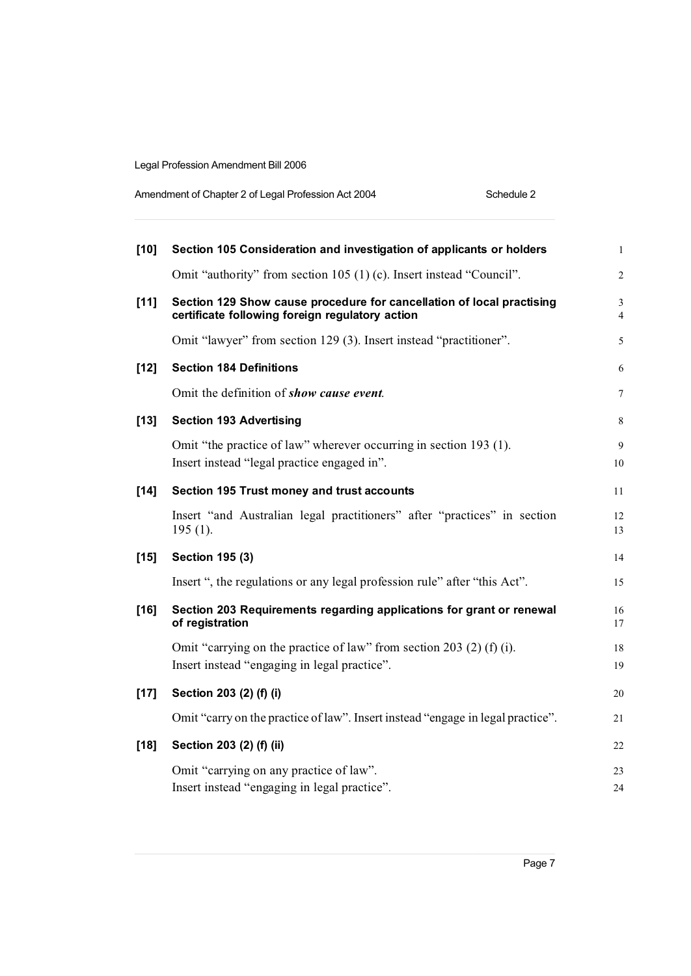| Amendment of Chapter 2 of Legal Profession Act 2004 | Schedule 2 |
|-----------------------------------------------------|------------|
|-----------------------------------------------------|------------|

| $[10]$ | Section 105 Consideration and investigation of applicants or holders                                                     | $\mathbf{1}$                     |
|--------|--------------------------------------------------------------------------------------------------------------------------|----------------------------------|
|        | Omit "authority" from section 105 (1) (c). Insert instead "Council".                                                     | $\overline{2}$                   |
| $[11]$ | Section 129 Show cause procedure for cancellation of local practising<br>certificate following foreign regulatory action | $\mathfrak{Z}$<br>$\overline{4}$ |
|        | Omit "lawyer" from section 129 (3). Insert instead "practitioner".                                                       | 5                                |
| $[12]$ | <b>Section 184 Definitions</b>                                                                                           | 6                                |
|        | Omit the definition of show cause event.                                                                                 | 7                                |
| $[13]$ | <b>Section 193 Advertising</b>                                                                                           | $\,8\,$                          |
|        | Omit "the practice of law" wherever occurring in section 193 (1).<br>Insert instead "legal practice engaged in".         | 9<br>10                          |
| $[14]$ | Section 195 Trust money and trust accounts                                                                               | 11                               |
|        | Insert "and Australian legal practitioners" after "practices" in section<br>$195(1)$ .                                   | 12<br>13                         |
| $[15]$ | <b>Section 195 (3)</b>                                                                                                   | 14                               |
|        | Insert ", the regulations or any legal profession rule" after "this Act".                                                | 15                               |
| $[16]$ | Section 203 Requirements regarding applications for grant or renewal<br>of registration                                  | 16<br>17                         |
|        | Omit "carrying on the practice of law" from section 203 (2) (f) (i).<br>Insert instead "engaging in legal practice".     | 18<br>19                         |
| $[17]$ | Section 203 (2) (f) (i)                                                                                                  | 20                               |
|        | Omit "carry on the practice of law". Insert instead "engage in legal practice".                                          | 21                               |
| $[18]$ | Section 203 (2) (f) (ii)                                                                                                 | 22                               |
|        | Omit "carrying on any practice of law".                                                                                  | 23                               |
|        | Insert instead "engaging in legal practice".                                                                             | 24                               |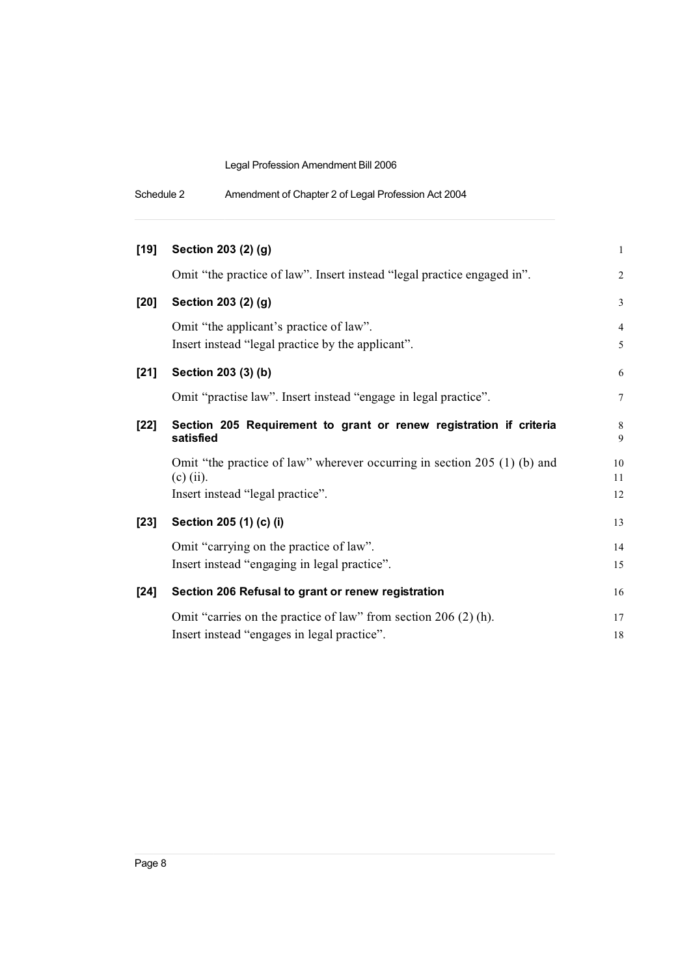|  | Schedule 2 | Amendment of Chapter 2 of Legal Profession Act 2004 |  |
|--|------------|-----------------------------------------------------|--|
|--|------------|-----------------------------------------------------|--|

| $[19]$ | Section 203 (2) (g)                                                                          | $\mathbf{1}$        |
|--------|----------------------------------------------------------------------------------------------|---------------------|
|        | Omit "the practice of law". Insert instead "legal practice engaged in".                      | $\overline{2}$      |
| $[20]$ | Section 203 (2) (g)                                                                          | $\mathfrak{Z}$      |
|        | Omit "the applicant's practice of law".<br>Insert instead "legal practice by the applicant". | $\overline{4}$<br>5 |
| $[21]$ | Section 203 (3) (b)                                                                          | 6                   |
|        | Omit "practise law". Insert instead "engage in legal practice".                              | $\tau$              |
| $[22]$ | Section 205 Requirement to grant or renew registration if criteria<br>satisfied              | 8<br>9              |
|        | Omit "the practice of law" wherever occurring in section 205 (1) (b) and<br>$(c)$ (ii).      | 10<br>11            |
|        | Insert instead "legal practice".                                                             | 12                  |
| $[23]$ | Section 205 (1) (c) (i)                                                                      | 13                  |
|        | Omit "carrying on the practice of law".                                                      | 14                  |
|        | Insert instead "engaging in legal practice".                                                 | 15                  |
| $[24]$ | Section 206 Refusal to grant or renew registration                                           | 16                  |
|        | Omit "carries on the practice of law" from section $206(2)$ (h).                             | 17                  |
|        | Insert instead "engages in legal practice".                                                  | 18                  |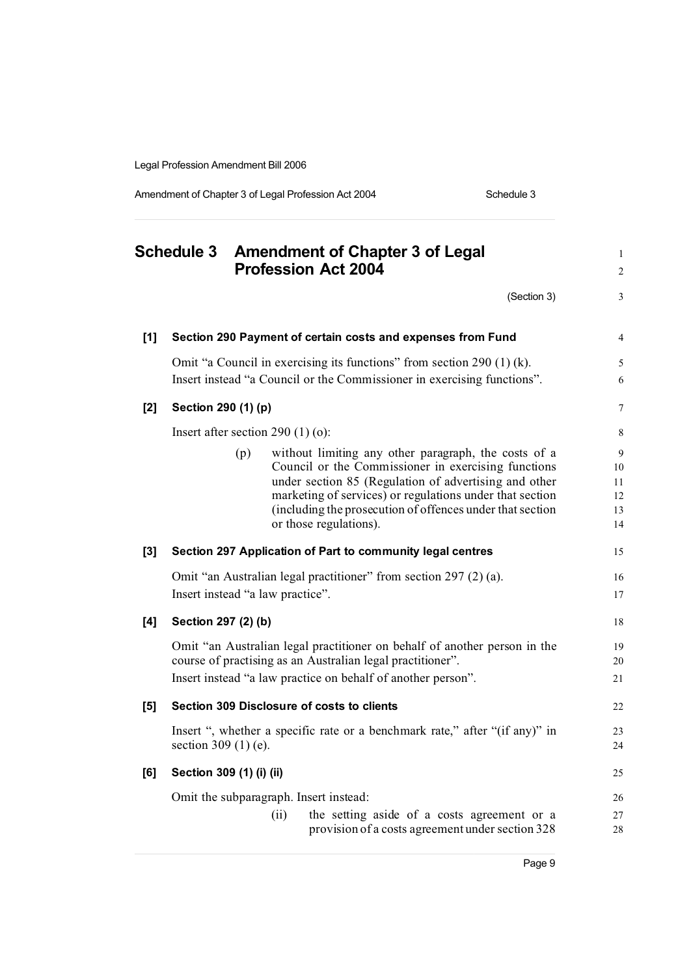Amendment of Chapter 3 of Legal Profession Act 2004 Schedule 3

| <b>Schedule 3</b> |                          | <b>Amendment of Chapter 3 of Legal</b><br><b>Profession Act 2004</b> |                                                                                                                                         | $\mathbf{1}$<br>$\overline{c}$ |
|-------------------|--------------------------|----------------------------------------------------------------------|-----------------------------------------------------------------------------------------------------------------------------------------|--------------------------------|
|                   |                          |                                                                      | (Section 3)                                                                                                                             | 3                              |
| $[1]$             |                          |                                                                      | Section 290 Payment of certain costs and expenses from Fund                                                                             | $\overline{4}$                 |
|                   |                          |                                                                      | Omit "a Council in exercising its functions" from section 290 (1) (k).                                                                  | 5                              |
|                   |                          |                                                                      | Insert instead "a Council or the Commissioner in exercising functions".                                                                 | 6                              |
| [2]               | Section 290 (1) (p)      |                                                                      |                                                                                                                                         | 7                              |
|                   |                          |                                                                      | Insert after section 290 $(1)$ (o):                                                                                                     | 8                              |
|                   |                          | (p)                                                                  | without limiting any other paragraph, the costs of a                                                                                    | 9                              |
|                   |                          |                                                                      | Council or the Commissioner in exercising functions<br>under section 85 (Regulation of advertising and other                            | 10<br>11                       |
|                   |                          |                                                                      | marketing of services) or regulations under that section                                                                                | 12                             |
|                   |                          |                                                                      | (including the prosecution of offences under that section                                                                               | 13                             |
|                   |                          |                                                                      | or those regulations).                                                                                                                  | 14                             |
| $[3]$             |                          |                                                                      | Section 297 Application of Part to community legal centres                                                                              | 15                             |
|                   |                          |                                                                      | Omit "an Australian legal practitioner" from section 297 (2) (a).<br>Insert instead "a law practice".                                   | 16<br>17                       |
| [4]               | Section 297 (2) (b)      |                                                                      |                                                                                                                                         | 18                             |
|                   |                          |                                                                      |                                                                                                                                         |                                |
|                   |                          |                                                                      | Omit "an Australian legal practitioner on behalf of another person in the<br>course of practising as an Australian legal practitioner". | 19<br>20                       |
|                   |                          |                                                                      | Insert instead "a law practice on behalf of another person".                                                                            | 21                             |
| $[5]$             |                          |                                                                      | Section 309 Disclosure of costs to clients                                                                                              | 22                             |
|                   | section 309 $(1)$ (e).   |                                                                      | Insert ", whether a specific rate or a benchmark rate," after "(if any)" in                                                             | 23<br>24                       |
| [6]               | Section 309 (1) (i) (ii) |                                                                      |                                                                                                                                         | 25                             |
|                   |                          |                                                                      | Omit the subparagraph. Insert instead:                                                                                                  | 26                             |
|                   |                          |                                                                      | the setting aside of a costs agreement or a<br>(ii)<br>provision of a costs agreement under section 328                                 | 27<br>28                       |

Page 9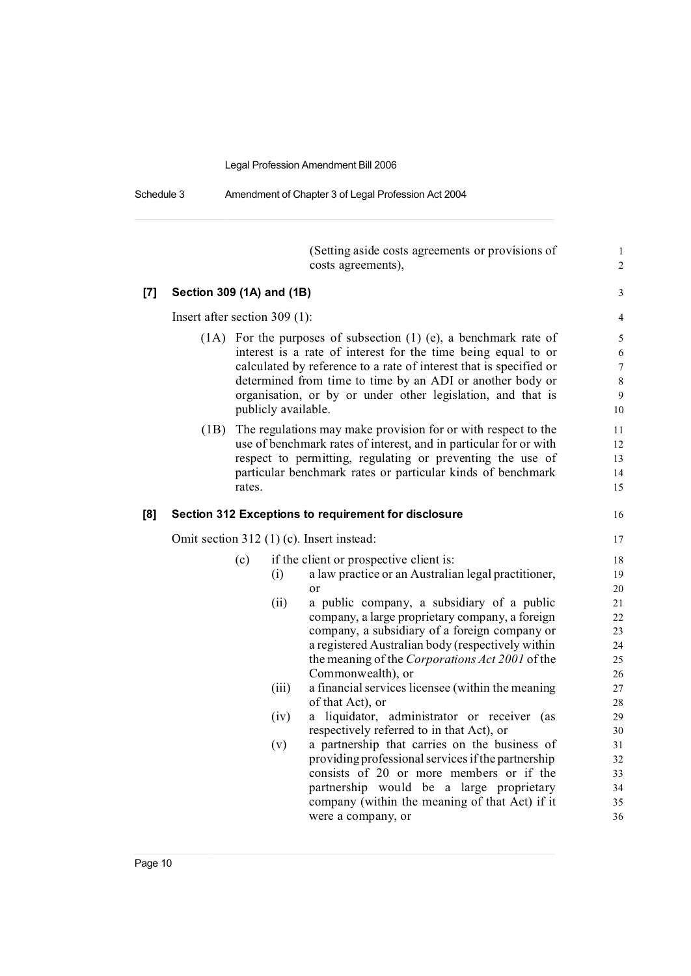Schedule 3 Amendment of Chapter 3 of Legal Profession Act 2004

|       |                                 |                     | (Setting aside costs agreements or provisions of<br>costs agreements),                             | $\mathbf{1}$<br>$\overline{c}$ |
|-------|---------------------------------|---------------------|----------------------------------------------------------------------------------------------------|--------------------------------|
| $[7]$ | Section 309 (1A) and (1B)       |                     |                                                                                                    | 3                              |
|       | Insert after section $309(1)$ : |                     |                                                                                                    | 4                              |
|       |                                 |                     | $(1A)$ For the purposes of subsection $(1)$ (e), a benchmark rate of                               | 5                              |
|       |                                 |                     | interest is a rate of interest for the time being equal to or                                      | 6                              |
|       |                                 |                     | calculated by reference to a rate of interest that is specified or                                 | 7                              |
|       |                                 |                     | determined from time to time by an ADI or another body or                                          | 8                              |
|       |                                 |                     | organisation, or by or under other legislation, and that is                                        | 9                              |
|       |                                 | publicly available. |                                                                                                    | 10                             |
|       | (1B)                            |                     | The regulations may make provision for or with respect to the                                      | 11                             |
|       |                                 |                     | use of benchmark rates of interest, and in particular for or with                                  | 12                             |
|       |                                 |                     | respect to permitting, regulating or preventing the use of                                         | 13                             |
|       |                                 | rates.              | particular benchmark rates or particular kinds of benchmark                                        | 14<br>15                       |
|       |                                 |                     |                                                                                                    |                                |
| [8]   |                                 |                     | Section 312 Exceptions to requirement for disclosure                                               | 16                             |
|       |                                 |                     | Omit section 312 (1) (c). Insert instead:                                                          | 17                             |
|       |                                 | (c)                 | if the client or prospective client is:                                                            | 18                             |
|       |                                 | (i)                 | a law practice or an Australian legal practitioner,                                                | 19                             |
|       |                                 |                     | or                                                                                                 | 20                             |
|       |                                 | (ii)                | a public company, a subsidiary of a public                                                         | 21                             |
|       |                                 |                     | company, a large proprietary company, a foreign                                                    | 22                             |
|       |                                 |                     | company, a subsidiary of a foreign company or<br>a registered Australian body (respectively within | 23<br>24                       |
|       |                                 |                     | the meaning of the Corporations Act 2001 of the                                                    | 25                             |
|       |                                 |                     | Commonwealth), or                                                                                  | 26                             |
|       |                                 | (iii)               | a financial services licensee (within the meaning                                                  | 27                             |
|       |                                 |                     | of that Act), or                                                                                   | 28                             |
|       |                                 | (iv)                | a liquidator, administrator or receiver (as                                                        | 29                             |
|       |                                 |                     | respectively referred to in that Act), or                                                          | 30                             |
|       |                                 | (v)                 | a partnership that carries on the business of                                                      | 31                             |
|       |                                 |                     | providing professional services if the partnership<br>consists of 20 or more members or if the     | 32<br>33                       |
|       |                                 |                     | partnership would be a large proprietary                                                           | 34                             |
|       |                                 |                     | company (within the meaning of that Act) if it                                                     | 35                             |
|       |                                 |                     | were a company, or                                                                                 | 36                             |
|       |                                 |                     |                                                                                                    |                                |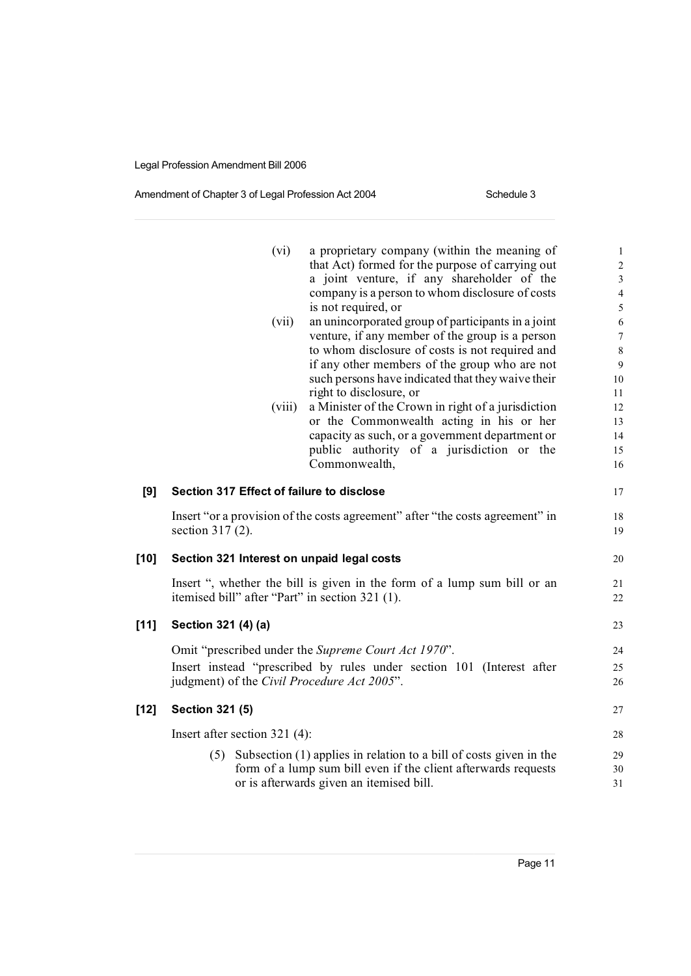#### Amendment of Chapter 3 of Legal Profession Act 2004 Schedule 3

|        |                        | (vi)<br>(vii)<br>(viii)       | a proprietary company (within the meaning of<br>that Act) formed for the purpose of carrying out<br>a joint venture, if any shareholder of the<br>company is a person to whom disclosure of costs<br>is not required, or<br>an unincorporated group of participants in a joint<br>venture, if any member of the group is a person<br>to whom disclosure of costs is not required and<br>if any other members of the group who are not<br>such persons have indicated that they waive their<br>right to disclosure, or<br>a Minister of the Crown in right of a jurisdiction<br>or the Commonwealth acting in his or her<br>capacity as such, or a government department or<br>public authority of a jurisdiction or the<br>Commonwealth, | $\mathbf{1}$<br>$\sqrt{2}$<br>$\mathfrak{Z}$<br>$\overline{4}$<br>5<br>$\sqrt{6}$<br>$\tau$<br>$\,8\,$<br>$\overline{9}$<br>10<br>11<br>12<br>13<br>14<br>15<br>16 |
|--------|------------------------|-------------------------------|------------------------------------------------------------------------------------------------------------------------------------------------------------------------------------------------------------------------------------------------------------------------------------------------------------------------------------------------------------------------------------------------------------------------------------------------------------------------------------------------------------------------------------------------------------------------------------------------------------------------------------------------------------------------------------------------------------------------------------------|--------------------------------------------------------------------------------------------------------------------------------------------------------------------|
| [9]    |                        |                               | Section 317 Effect of failure to disclose                                                                                                                                                                                                                                                                                                                                                                                                                                                                                                                                                                                                                                                                                                | 17                                                                                                                                                                 |
|        | section 317 (2).       |                               | Insert "or a provision of the costs agreement" after "the costs agreement" in                                                                                                                                                                                                                                                                                                                                                                                                                                                                                                                                                                                                                                                            | 18<br>19                                                                                                                                                           |
| $[10]$ |                        |                               | Section 321 Interest on unpaid legal costs                                                                                                                                                                                                                                                                                                                                                                                                                                                                                                                                                                                                                                                                                               | 20                                                                                                                                                                 |
|        |                        |                               | Insert ", whether the bill is given in the form of a lump sum bill or an<br>itemised bill" after "Part" in section 321 (1).                                                                                                                                                                                                                                                                                                                                                                                                                                                                                                                                                                                                              | 21<br>22                                                                                                                                                           |
| $[11]$ | Section 321 (4) (a)    |                               |                                                                                                                                                                                                                                                                                                                                                                                                                                                                                                                                                                                                                                                                                                                                          | 23                                                                                                                                                                 |
|        |                        |                               | Omit "prescribed under the Supreme Court Act 1970".<br>Insert instead "prescribed by rules under section 101 (Interest after<br>judgment) of the Civil Procedure Act 2005".                                                                                                                                                                                                                                                                                                                                                                                                                                                                                                                                                              | 24<br>25<br>26                                                                                                                                                     |
| $[12]$ | <b>Section 321 (5)</b> |                               |                                                                                                                                                                                                                                                                                                                                                                                                                                                                                                                                                                                                                                                                                                                                          | 27                                                                                                                                                                 |
|        |                        | Insert after section 321 (4): |                                                                                                                                                                                                                                                                                                                                                                                                                                                                                                                                                                                                                                                                                                                                          | 28                                                                                                                                                                 |
|        |                        |                               | (5) Subsection (1) applies in relation to a bill of costs given in the<br>form of a lump sum bill even if the client afterwards requests<br>or is afterwards given an itemised bill.                                                                                                                                                                                                                                                                                                                                                                                                                                                                                                                                                     | 29<br>30<br>31                                                                                                                                                     |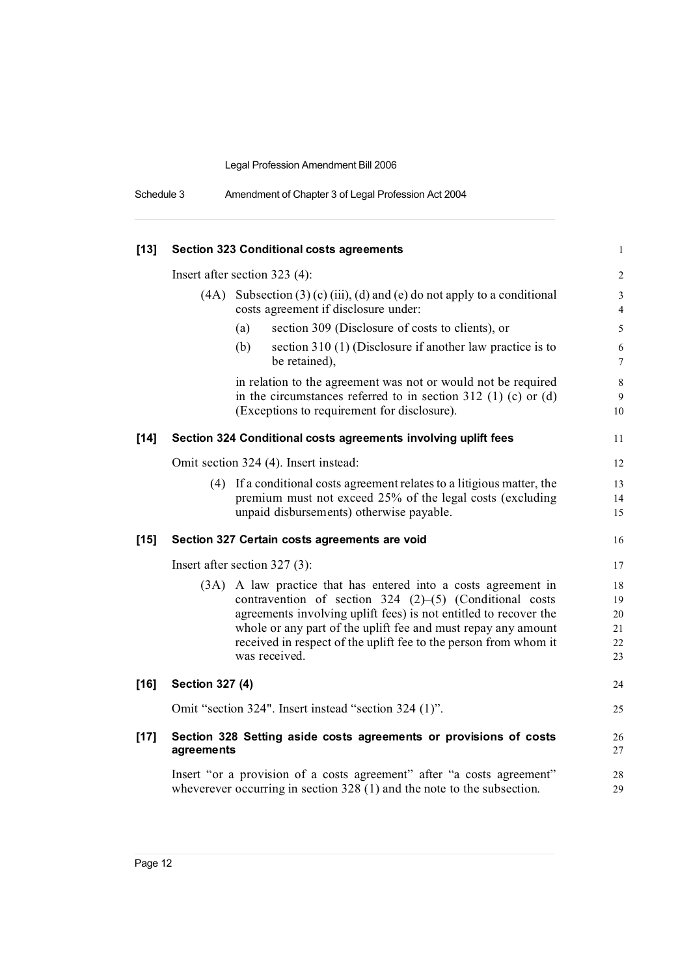| Schedule 3 | Amendment of Chapter 3 of Legal Profession Act 2004 |  |
|------------|-----------------------------------------------------|--|
|------------|-----------------------------------------------------|--|

| $[13]$ | <b>Section 323 Conditional costs agreements</b><br>Insert after section 323 (4): |                                                                                                                                                                                                                                                                                                                                                      |                                  |
|--------|----------------------------------------------------------------------------------|------------------------------------------------------------------------------------------------------------------------------------------------------------------------------------------------------------------------------------------------------------------------------------------------------------------------------------------------------|----------------------------------|
|        |                                                                                  |                                                                                                                                                                                                                                                                                                                                                      |                                  |
|        | (4A)                                                                             | Subsection $(3)$ (c) (iii), (d) and (e) do not apply to a conditional<br>costs agreement if disclosure under:                                                                                                                                                                                                                                        | 3<br>$\overline{4}$              |
|        |                                                                                  | section 309 (Disclosure of costs to clients), or<br>(a)                                                                                                                                                                                                                                                                                              | 5                                |
|        |                                                                                  | section $310(1)$ (Disclosure if another law practice is to<br>(b)<br>be retained),                                                                                                                                                                                                                                                                   | 6<br>$\overline{7}$              |
|        |                                                                                  | in relation to the agreement was not or would not be required<br>in the circumstances referred to in section 312 (1) (c) or (d)<br>(Exceptions to requirement for disclosure).                                                                                                                                                                       | 8<br>9<br>10                     |
| $[14]$ |                                                                                  | Section 324 Conditional costs agreements involving uplift fees                                                                                                                                                                                                                                                                                       | 11                               |
|        |                                                                                  | Omit section 324 (4). Insert instead:                                                                                                                                                                                                                                                                                                                | 12                               |
|        |                                                                                  | (4) If a conditional costs agreement relates to a litigious matter, the<br>premium must not exceed 25% of the legal costs (excluding<br>unpaid disbursements) otherwise payable.                                                                                                                                                                     | 13<br>14<br>15                   |
| $[15]$ |                                                                                  | Section 327 Certain costs agreements are void                                                                                                                                                                                                                                                                                                        | 16                               |
|        |                                                                                  | Insert after section 327 (3):                                                                                                                                                                                                                                                                                                                        | 17                               |
|        | (3A)                                                                             | A law practice that has entered into a costs agreement in<br>contravention of section 324 $(2)$ – $(5)$ (Conditional costs<br>agreements involving uplift fees) is not entitled to recover the<br>whole or any part of the uplift fee and must repay any amount<br>received in respect of the uplift fee to the person from whom it<br>was received. | 18<br>19<br>20<br>21<br>22<br>23 |
| $[16]$ | <b>Section 327 (4)</b>                                                           |                                                                                                                                                                                                                                                                                                                                                      | 24                               |
|        |                                                                                  | Omit "section 324". Insert instead "section 324 (1)".                                                                                                                                                                                                                                                                                                | 25                               |
| $[17]$ | agreements                                                                       | Section 328 Setting aside costs agreements or provisions of costs                                                                                                                                                                                                                                                                                    | 26<br>27                         |
|        |                                                                                  | Insert "or a provision of a costs agreement" after "a costs agreement"<br>wheverever occurring in section $328(1)$ and the note to the subsection.                                                                                                                                                                                                   | 28<br>29                         |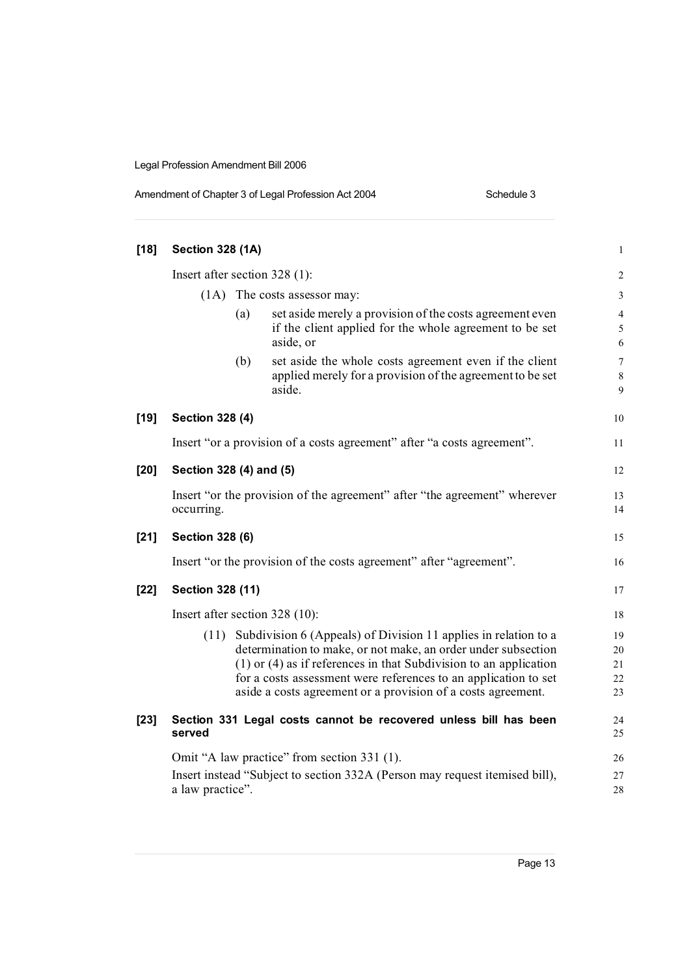| Amendment of Chapter 3 of Legal Profession Act 2004 |  |
|-----------------------------------------------------|--|
|                                                     |  |

**[18] Section 328 (1A)** 1 Insert after section 328 (1): 2 (1A) The costs assessor may: 3 (a) set aside merely a provision of the costs agreement even 4 if the client applied for the whole agreement to be set  $5$ aside, or 6 (b) set aside the whole costs agreement even if the client 7 applied merely for a provision of the agreement to be set 8 aside. 9 **[19] Section 328 (4)** 10 Insert "or a provision of a costs agreement" after "a costs agreement". **[20] Section 328 (4) and (5)** 12 Insert "or the provision of the agreement" after "the agreement" wherever 13 occurring. 14 **[21] Section 328 (6)** 15 Insert "or the provision of the costs agreement" after "agreement". 16 **[22] Section 328 (11)** 17 Insert after section 328 (10): 18 (11) Subdivision 6 (Appeals) of Division 11 applies in relation to a 19 determination to make, or not make, an order under subsection 20 (1) or (4) as if references in that Subdivision to an application 21 for a costs assessment were references to an application to set 22 aside a costs agreement or a provision of a costs agreement. 23 **[23] Section 331 Legal costs cannot be recovered unless bill has been** 24 **served** 25 Omit "A law practice" from section 331 (1). 26 Insert instead "Subject to section 332A (Person may request itemised bill), 27 a law practice". 28

Schedule 3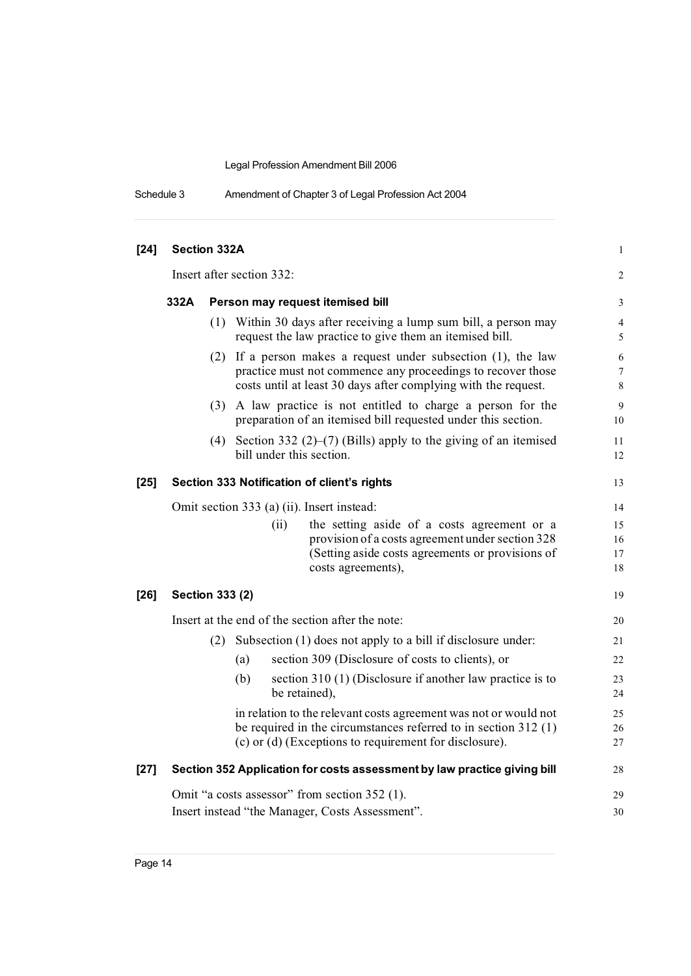| $[24]$ | Section 332A                                          |     |                                                                                                                                                                                                     | $\mathbf{1}$        |  |
|--------|-------------------------------------------------------|-----|-----------------------------------------------------------------------------------------------------------------------------------------------------------------------------------------------------|---------------------|--|
|        | Insert after section 332:                             |     |                                                                                                                                                                                                     |                     |  |
|        | 332A                                                  |     | Person may request itemised bill                                                                                                                                                                    | 3                   |  |
|        |                                                       |     | (1) Within 30 days after receiving a lump sum bill, a person may<br>request the law practice to give them an itemised bill.                                                                         | $\overline{4}$<br>5 |  |
|        |                                                       |     | $(2)$ If a person makes a request under subsection $(1)$ , the law<br>practice must not commence any proceedings to recover those<br>costs until at least 30 days after complying with the request. | 6<br>7<br>$\,8\,$   |  |
|        |                                                       |     | (3) A law practice is not entitled to charge a person for the<br>preparation of an itemised bill requested under this section.                                                                      | 9<br>10             |  |
|        |                                                       | (4) | Section 332 $(2)$ – $(7)$ (Bills) apply to the giving of an itemised<br>bill under this section.                                                                                                    | 11<br>12            |  |
| $[25]$ |                                                       |     | Section 333 Notification of client's rights                                                                                                                                                         | 13                  |  |
|        | Omit section 333 (a) (ii). Insert instead:            |     |                                                                                                                                                                                                     |                     |  |
|        |                                                       |     | the setting aside of a costs agreement or a<br>(ii)                                                                                                                                                 | 15                  |  |
|        |                                                       |     | provision of a costs agreement under section 328                                                                                                                                                    | 16                  |  |
|        |                                                       |     | (Setting aside costs agreements or provisions of                                                                                                                                                    | 17                  |  |
|        |                                                       |     | costs agreements),                                                                                                                                                                                  | 18                  |  |
| $[26]$ | Section 333 (2)                                       |     |                                                                                                                                                                                                     | 19                  |  |
|        |                                                       |     | Insert at the end of the section after the note:                                                                                                                                                    | 20                  |  |
|        |                                                       | (2) | Subsection (1) does not apply to a bill if disclosure under:                                                                                                                                        | $21\,$              |  |
|        |                                                       |     | section 309 (Disclosure of costs to clients), or<br>(a)                                                                                                                                             | 22                  |  |
|        |                                                       |     | section 310 (1) (Disclosure if another law practice is to<br>(b)<br>be retained),                                                                                                                   | 23<br>24            |  |
|        |                                                       |     | in relation to the relevant costs agreement was not or would not                                                                                                                                    | 25                  |  |
|        |                                                       |     | be required in the circumstances referred to in section $312(1)$                                                                                                                                    | 26                  |  |
|        |                                                       |     | (c) or (d) (Exceptions to requirement for disclosure).                                                                                                                                              | 27                  |  |
| $[27]$ |                                                       |     | Section 352 Application for costs assessment by law practice giving bill                                                                                                                            | 28                  |  |
|        | Omit "a costs assessor" from section 352 (1).         |     |                                                                                                                                                                                                     |                     |  |
|        | Insert instead "the Manager, Costs Assessment".<br>30 |     |                                                                                                                                                                                                     |                     |  |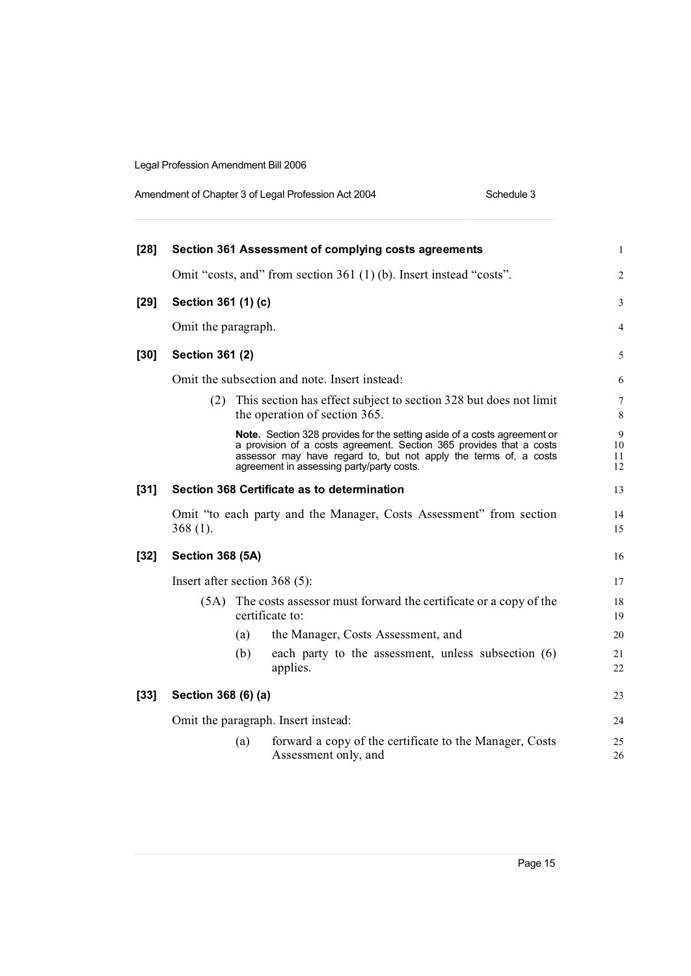| Amendment of Chapter 3 of Legal Profession Act 2004 | Schedule 3 |
|-----------------------------------------------------|------------|
|-----------------------------------------------------|------------|

| $[28]$ |                                 |     | Section 361 Assessment of complying costs agreements                                                                                                                                                                                                                    | $\mathbf{1}$        |
|--------|---------------------------------|-----|-------------------------------------------------------------------------------------------------------------------------------------------------------------------------------------------------------------------------------------------------------------------------|---------------------|
|        |                                 |     | Omit "costs, and" from section 361 (1) (b). Insert instead "costs".                                                                                                                                                                                                     | 2                   |
| $[29]$ | Section 361 (1) (c)             |     |                                                                                                                                                                                                                                                                         | 3                   |
|        | Omit the paragraph.             |     |                                                                                                                                                                                                                                                                         | $\overline{4}$      |
| $[30]$ | <b>Section 361 (2)</b>          |     |                                                                                                                                                                                                                                                                         | 5                   |
|        |                                 |     | Omit the subsection and note. Insert instead:                                                                                                                                                                                                                           | 6                   |
|        | (2)                             |     | This section has effect subject to section 328 but does not limit<br>the operation of section 365.                                                                                                                                                                      | 7<br>8              |
|        |                                 |     | <b>Note.</b> Section 328 provides for the setting aside of a costs agreement or<br>a provision of a costs agreement. Section 365 provides that a costs<br>assessor may have regard to, but not apply the terms of, a costs<br>agreement in assessing party/party costs. | 9<br>10<br>11<br>12 |
| $[31]$ |                                 |     | Section 368 Certificate as to determination                                                                                                                                                                                                                             | 13                  |
|        | $368(1)$ .                      |     | Omit "to each party and the Manager, Costs Assessment" from section                                                                                                                                                                                                     | 14<br>15            |
| $[32]$ | <b>Section 368 (5A)</b>         |     |                                                                                                                                                                                                                                                                         | 16                  |
|        | Insert after section $368(5)$ : |     |                                                                                                                                                                                                                                                                         | 17                  |
|        |                                 |     | (5A) The costs assessor must forward the certificate or a copy of the<br>certificate to:                                                                                                                                                                                | 18<br>19            |
|        |                                 | (a) | the Manager, Costs Assessment, and                                                                                                                                                                                                                                      | 20                  |
|        |                                 | (b) | each party to the assessment, unless subsection (6)<br>applies.                                                                                                                                                                                                         | 21<br>22            |
| $[33]$ | Section 368 (6) (a)             |     |                                                                                                                                                                                                                                                                         | 23                  |
|        |                                 |     | Omit the paragraph. Insert instead:                                                                                                                                                                                                                                     | 24                  |
|        |                                 | (a) | forward a copy of the certificate to the Manager, Costs<br>Assessment only, and                                                                                                                                                                                         | 25<br>26            |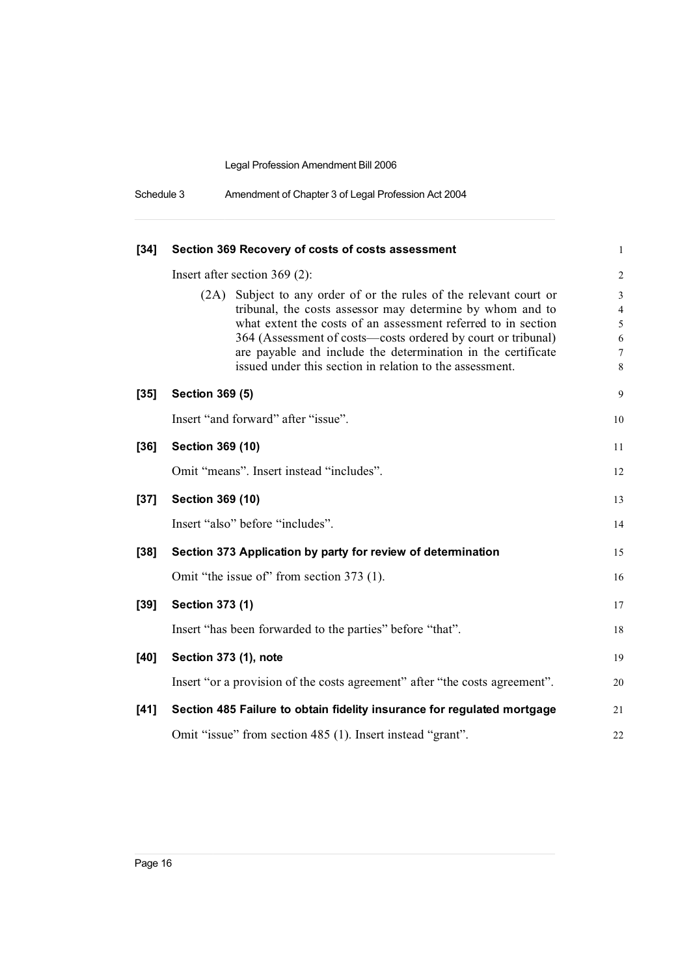| Schedule 3 | Amendment of Chapter 3 of Legal Profession Act 2004 |  |
|------------|-----------------------------------------------------|--|
|------------|-----------------------------------------------------|--|

| $[34]$ | Section 369 Recovery of costs of costs assessment                                                                                                                                                                                                                                                                                                                                            |                                                                    |  |
|--------|----------------------------------------------------------------------------------------------------------------------------------------------------------------------------------------------------------------------------------------------------------------------------------------------------------------------------------------------------------------------------------------------|--------------------------------------------------------------------|--|
|        | Insert after section $369(2)$ :                                                                                                                                                                                                                                                                                                                                                              | $\overline{2}$                                                     |  |
|        | (2A) Subject to any order of or the rules of the relevant court or<br>tribunal, the costs assessor may determine by whom and to<br>what extent the costs of an assessment referred to in section<br>364 (Assessment of costs—costs ordered by court or tribunal)<br>are payable and include the determination in the certificate<br>issued under this section in relation to the assessment. | $\mathfrak{Z}$<br>$\overline{4}$<br>5<br>$\sqrt{6}$<br>$\tau$<br>8 |  |
| $[35]$ | <b>Section 369 (5)</b>                                                                                                                                                                                                                                                                                                                                                                       | 9                                                                  |  |
|        | Insert "and forward" after "issue".                                                                                                                                                                                                                                                                                                                                                          | 10                                                                 |  |
| [36]   | Section 369 (10)                                                                                                                                                                                                                                                                                                                                                                             | 11                                                                 |  |
|        | Omit "means". Insert instead "includes".                                                                                                                                                                                                                                                                                                                                                     | 12                                                                 |  |
| $[37]$ | Section 369 (10)                                                                                                                                                                                                                                                                                                                                                                             | 13                                                                 |  |
|        | Insert "also" before "includes".                                                                                                                                                                                                                                                                                                                                                             | 14                                                                 |  |
| $[38]$ | Section 373 Application by party for review of determination                                                                                                                                                                                                                                                                                                                                 | 15                                                                 |  |
|        | Omit "the issue of" from section 373 (1).                                                                                                                                                                                                                                                                                                                                                    | 16                                                                 |  |
| $[39]$ | <b>Section 373 (1)</b>                                                                                                                                                                                                                                                                                                                                                                       | 17                                                                 |  |
|        | Insert "has been forwarded to the parties" before "that".                                                                                                                                                                                                                                                                                                                                    | 18                                                                 |  |
| [40]   | Section 373 (1), note                                                                                                                                                                                                                                                                                                                                                                        | 19                                                                 |  |
|        | Insert "or a provision of the costs agreement" after "the costs agreement".                                                                                                                                                                                                                                                                                                                  | 20                                                                 |  |
| $[41]$ | Section 485 Failure to obtain fidelity insurance for regulated mortgage                                                                                                                                                                                                                                                                                                                      | 21                                                                 |  |
|        | Omit "issue" from section 485 (1). Insert instead "grant".                                                                                                                                                                                                                                                                                                                                   | 22                                                                 |  |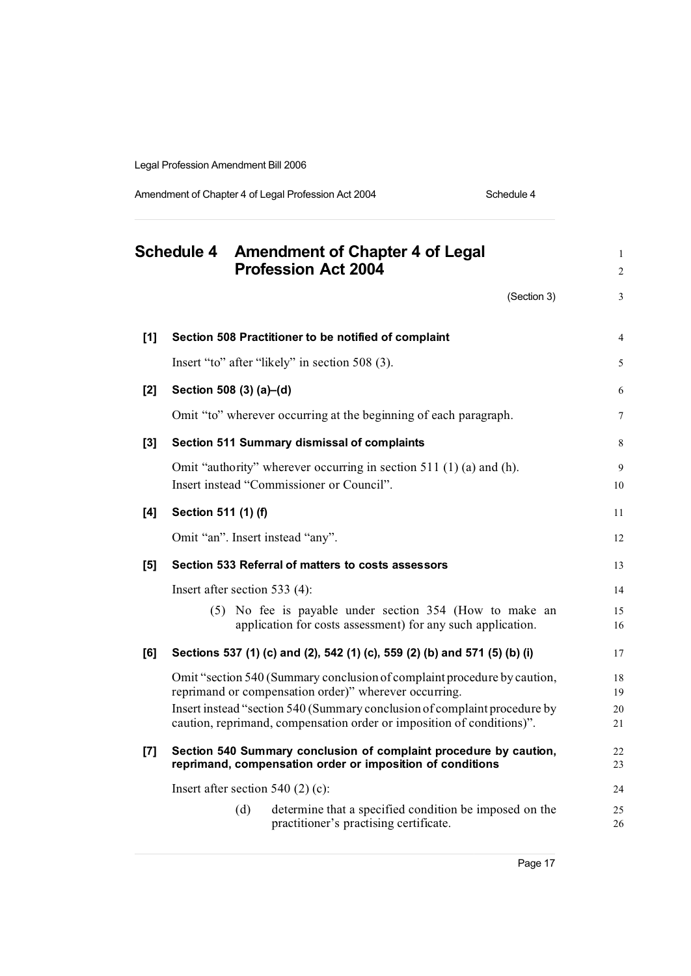Amendment of Chapter 4 of Legal Profession Act 2004 Schedule 4

|       |                               |     | Schedule 4 Amendment of Chapter 4 of Legal<br><b>Profession Act 2004</b>                                                                           |                  |
|-------|-------------------------------|-----|----------------------------------------------------------------------------------------------------------------------------------------------------|------------------|
|       |                               |     | (Section 3)                                                                                                                                        | 3                |
| $[1]$ |                               |     | Section 508 Practitioner to be notified of complaint                                                                                               | $\overline{4}$   |
|       |                               |     | Insert "to" after "likely" in section 508 (3).                                                                                                     | 5                |
| $[2]$ | Section 508 (3) (a)-(d)       |     |                                                                                                                                                    | 6                |
|       |                               |     | Omit "to" wherever occurring at the beginning of each paragraph.                                                                                   | $\boldsymbol{7}$ |
| $[3]$ |                               |     | Section 511 Summary dismissal of complaints                                                                                                        | 8                |
|       |                               |     | Omit "authority" wherever occurring in section 511 $(1)$ (a) and (h).<br>Insert instead "Commissioner or Council".                                 | 9<br>10          |
| [4]   | Section 511 (1) (f)           |     |                                                                                                                                                    | 11               |
|       |                               |     | Omit "an". Insert instead "any".                                                                                                                   | 12               |
| [5]   |                               |     | Section 533 Referral of matters to costs assessors                                                                                                 | 13               |
|       | Insert after section 533 (4): |     |                                                                                                                                                    | 14               |
|       |                               |     | (5) No fee is payable under section 354 (How to make an<br>application for costs assessment) for any such application.                             | 15<br>16         |
| [6]   |                               |     | Sections 537 (1) (c) and (2), 542 (1) (c), 559 (2) (b) and 571 (5) (b) (i)                                                                         | 17               |
|       |                               |     | Omit "section 540 (Summary conclusion of complaint procedure by caution,<br>reprimand or compensation order)" wherever occurring.                  | 18<br>19         |
|       |                               |     | Insert instead "section 540 (Summary conclusion of complaint procedure by<br>caution, reprimand, compensation order or imposition of conditions)". | 20<br>21         |
| $[7]$ |                               |     | Section 540 Summary conclusion of complaint procedure by caution,<br>reprimand, compensation order or imposition of conditions                     | 22<br>23         |
|       |                               |     | Insert after section $540(2)$ (c):                                                                                                                 | 24               |
|       |                               | (d) | determine that a specified condition be imposed on the<br>practitioner's practising certificate.                                                   | 25<br>26         |

Page 17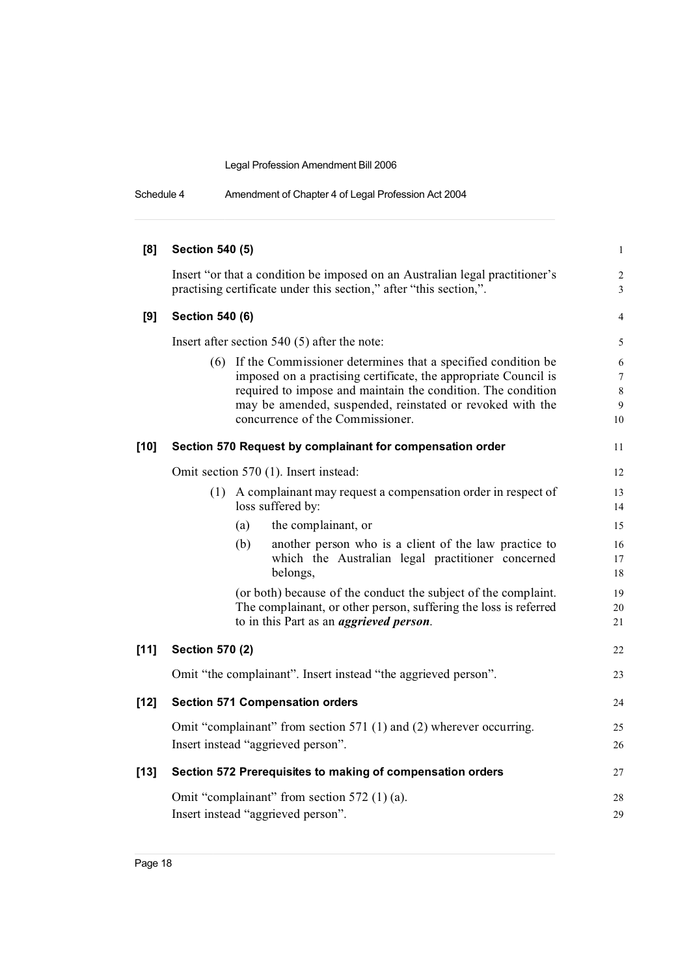| Schedule 4 | Amendment of Chapter 4 of Legal Profession Act 2004 |  |  |  |
|------------|-----------------------------------------------------|--|--|--|
|------------|-----------------------------------------------------|--|--|--|

| [8]    | <b>Section 540 (5)</b> |                                                                                                                                                                                                                                                                                                      | $\mathbf{1}$                        |
|--------|------------------------|------------------------------------------------------------------------------------------------------------------------------------------------------------------------------------------------------------------------------------------------------------------------------------------------------|-------------------------------------|
|        |                        | Insert "or that a condition be imposed on an Australian legal practitioner's<br>practising certificate under this section," after "this section,".                                                                                                                                                   | $\overline{c}$<br>3                 |
| [9]    | Section 540 (6)        |                                                                                                                                                                                                                                                                                                      | $\overline{4}$                      |
|        |                        | Insert after section $540(5)$ after the note:                                                                                                                                                                                                                                                        | 5                                   |
|        |                        | (6) If the Commissioner determines that a specified condition be<br>imposed on a practising certificate, the appropriate Council is<br>required to impose and maintain the condition. The condition<br>may be amended, suspended, reinstated or revoked with the<br>concurrence of the Commissioner. | 6<br>$\overline{7}$<br>8<br>9<br>10 |
| $[10]$ |                        | Section 570 Request by complainant for compensation order                                                                                                                                                                                                                                            | 11                                  |
|        |                        | Omit section 570 (1). Insert instead:                                                                                                                                                                                                                                                                | 12                                  |
|        |                        | (1) A complainant may request a compensation order in respect of<br>loss suffered by:                                                                                                                                                                                                                | 13<br>14                            |
|        |                        | the complainant, or<br>(a)                                                                                                                                                                                                                                                                           | 15                                  |
|        |                        | (b)<br>another person who is a client of the law practice to<br>which the Australian legal practitioner concerned<br>belongs,                                                                                                                                                                        | 16<br>17<br>18                      |
|        |                        | (or both) because of the conduct the subject of the complaint.<br>The complainant, or other person, suffering the loss is referred<br>to in this Part as an <i>aggrieved person</i> .                                                                                                                | 19<br>20<br>21                      |
| $[11]$ | <b>Section 570 (2)</b> |                                                                                                                                                                                                                                                                                                      | 22                                  |
|        |                        | Omit "the complainant". Insert instead "the aggrieved person".                                                                                                                                                                                                                                       | 23                                  |
| $[12]$ |                        | <b>Section 571 Compensation orders</b>                                                                                                                                                                                                                                                               | 24                                  |
|        |                        | Omit "complainant" from section 571 (1) and (2) wherever occurring.<br>Insert instead "aggrieved person".                                                                                                                                                                                            | 25<br>26                            |
| $[13]$ |                        | Section 572 Prerequisites to making of compensation orders                                                                                                                                                                                                                                           | 27                                  |
|        |                        | Omit "complainant" from section 572 (1)(a).<br>Insert instead "aggrieved person".                                                                                                                                                                                                                    | 28<br>29                            |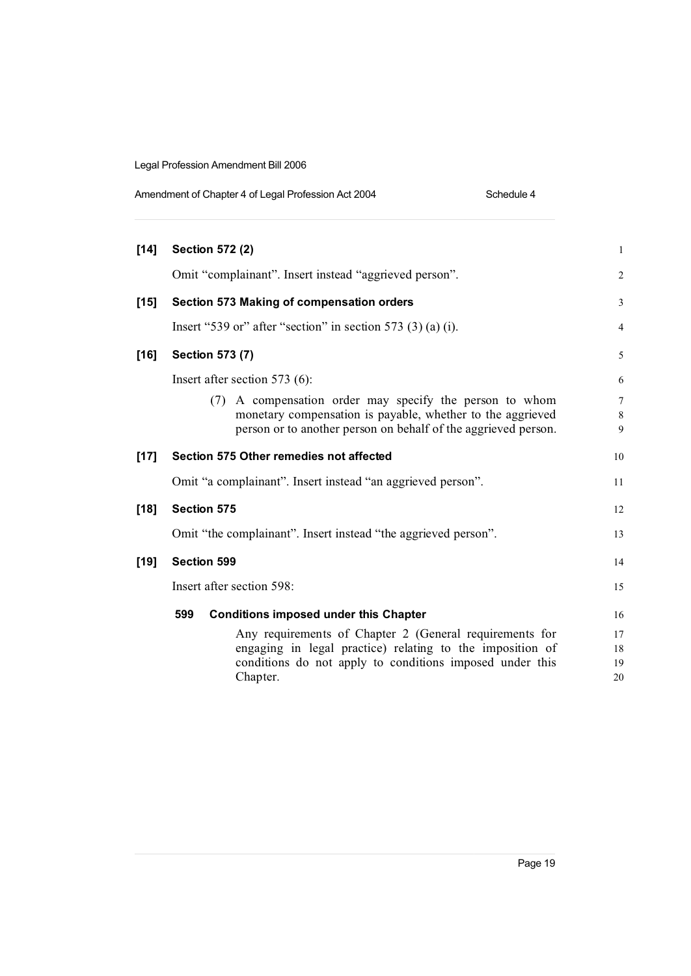| Amendment of Chapter 4 of Legal Profession Act 2004 | Schedule 4 |
|-----------------------------------------------------|------------|
|-----------------------------------------------------|------------|

| $[14]$ | <b>Section 572 (2)</b>                                                                                                                                                                       | $\mathbf{1}$         |
|--------|----------------------------------------------------------------------------------------------------------------------------------------------------------------------------------------------|----------------------|
|        | Omit "complainant". Insert instead "aggrieved person".                                                                                                                                       | 2                    |
| $[15]$ | Section 573 Making of compensation orders                                                                                                                                                    | 3                    |
|        | Insert "539 or" after "section" in section 573 $(3)$ (a) (i).                                                                                                                                | $\overline{4}$       |
| $[16]$ | <b>Section 573 (7)</b>                                                                                                                                                                       | 5                    |
|        | Insert after section $573(6)$ :                                                                                                                                                              | 6                    |
|        | A compensation order may specify the person to whom<br>(7)<br>monetary compensation is payable, whether to the aggrieved<br>person or to another person on behalf of the aggrieved person.   | 7<br>8<br>9          |
| $[17]$ | Section 575 Other remedies not affected                                                                                                                                                      | 10                   |
|        | Omit "a complainant". Insert instead "an aggrieved person".                                                                                                                                  | 11                   |
| $[18]$ | <b>Section 575</b>                                                                                                                                                                           | 12                   |
|        | Omit "the complainant". Insert instead "the aggrieved person".                                                                                                                               | 13                   |
| $[19]$ | <b>Section 599</b>                                                                                                                                                                           | 14                   |
|        | Insert after section 598:                                                                                                                                                                    | 15                   |
|        | 599<br><b>Conditions imposed under this Chapter</b>                                                                                                                                          | 16                   |
|        | Any requirements of Chapter 2 (General requirements for<br>engaging in legal practice) relating to the imposition of<br>conditions do not apply to conditions imposed under this<br>Chapter. | 17<br>18<br>19<br>20 |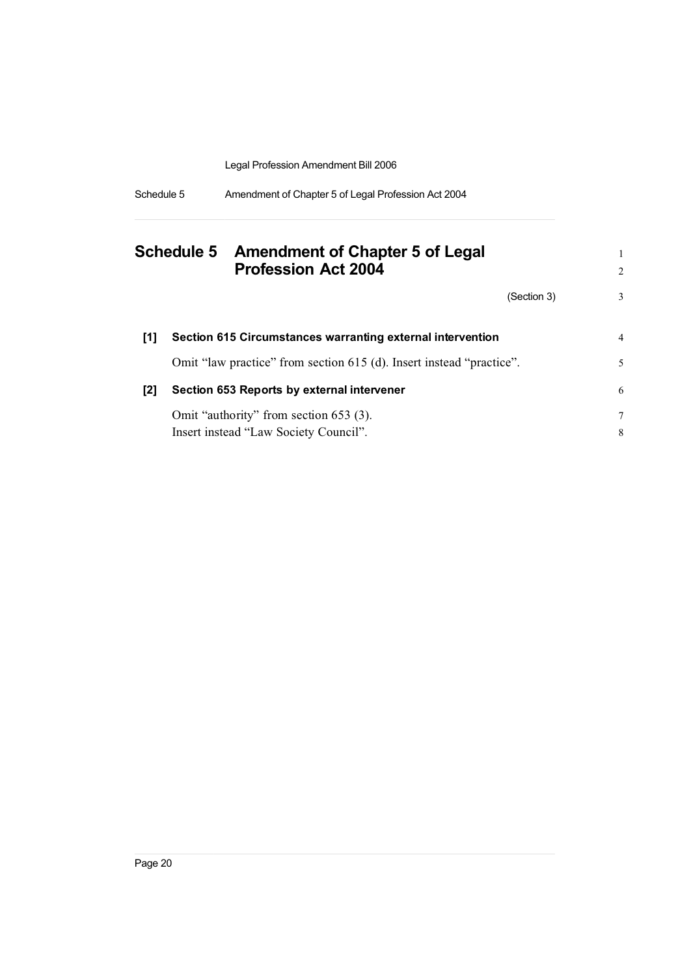| Schedule 5 | Amendment of Chapter 5 of Legal Profession Act 2004 |
|------------|-----------------------------------------------------|
|------------|-----------------------------------------------------|

|     | Schedule 5 Amendment of Chapter 5 of Legal<br><b>Profession Act 2004</b> |             | 2  |
|-----|--------------------------------------------------------------------------|-------------|----|
|     |                                                                          | (Section 3) | 3  |
| [1] | Section 615 Circumstances warranting external intervention               |             | 4  |
|     | Omit "law practice" from section 615 (d). Insert instead "practice".     |             | 5. |
| [2] | Section 653 Reports by external intervener                               |             | 6  |
|     | Omit "authority" from section 653 (3).                                   |             | 7  |
|     | Insert instead "Law Society Council".                                    |             | 8  |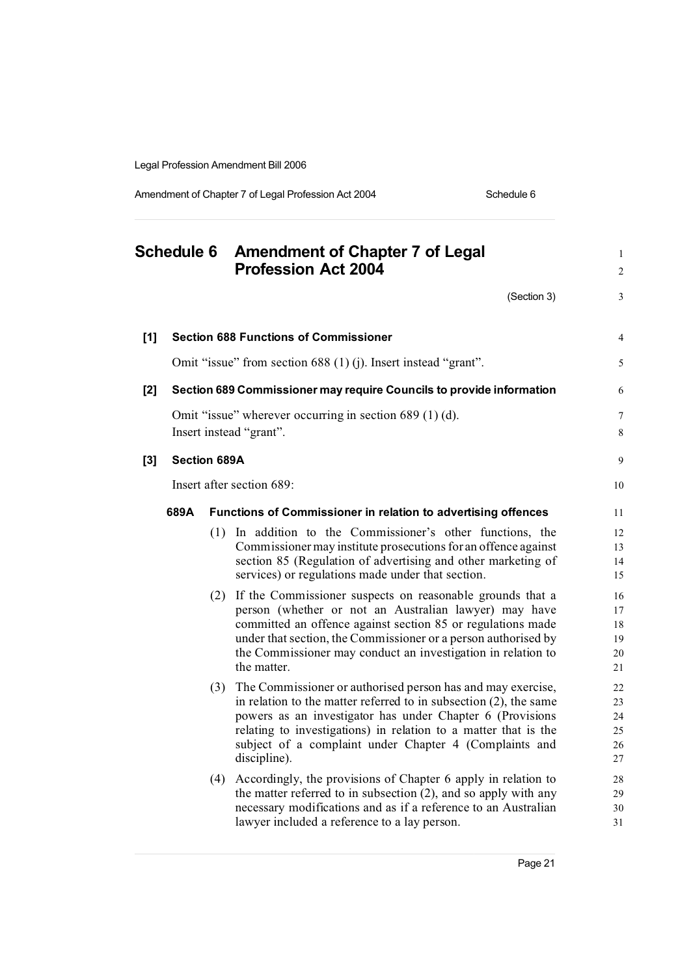Amendment of Chapter 7 of Legal Profession Act 2004 Schedule 6

|       | <b>Schedule 6</b>   |     | <b>Amendment of Chapter 7 of Legal</b><br><b>Profession Act 2004</b>                                                                                                                                                                                                                                                                          | $\mathbf{1}$<br>$\overline{c}$   |
|-------|---------------------|-----|-----------------------------------------------------------------------------------------------------------------------------------------------------------------------------------------------------------------------------------------------------------------------------------------------------------------------------------------------|----------------------------------|
|       |                     |     | (Section 3)                                                                                                                                                                                                                                                                                                                                   | 3                                |
| $[1]$ |                     |     | <b>Section 688 Functions of Commissioner</b>                                                                                                                                                                                                                                                                                                  | $\overline{4}$                   |
|       |                     |     | Omit "issue" from section 688 (1) (j). Insert instead "grant".                                                                                                                                                                                                                                                                                | 5                                |
| $[2]$ |                     |     | Section 689 Commissioner may require Councils to provide information                                                                                                                                                                                                                                                                          | 6                                |
|       |                     |     | Omit "issue" wherever occurring in section 689 (1) (d).<br>Insert instead "grant".                                                                                                                                                                                                                                                            | $\boldsymbol{7}$<br>8            |
| $[3]$ | <b>Section 689A</b> |     |                                                                                                                                                                                                                                                                                                                                               | 9                                |
|       |                     |     | Insert after section 689:                                                                                                                                                                                                                                                                                                                     | 10                               |
|       | 689A                |     | Functions of Commissioner in relation to advertising offences                                                                                                                                                                                                                                                                                 | 11                               |
|       |                     | (1) | In addition to the Commissioner's other functions, the<br>Commissioner may institute prosecutions for an offence against<br>section 85 (Regulation of advertising and other marketing of<br>services) or regulations made under that section.                                                                                                 | 12<br>13<br>14<br>15             |
|       |                     |     | (2) If the Commissioner suspects on reasonable grounds that a<br>person (whether or not an Australian lawyer) may have<br>committed an offence against section 85 or regulations made<br>under that section, the Commissioner or a person authorised by<br>the Commissioner may conduct an investigation in relation to<br>the matter.        | 16<br>17<br>18<br>19<br>20<br>21 |
|       |                     | (3) | The Commissioner or authorised person has and may exercise,<br>in relation to the matter referred to in subsection $(2)$ , the same<br>powers as an investigator has under Chapter 6 (Provisions<br>relating to investigations) in relation to a matter that is the<br>subject of a complaint under Chapter 4 (Complaints and<br>discipline). | 22<br>23<br>24<br>25<br>26<br>27 |
|       |                     |     | (4) Accordingly, the provisions of Chapter 6 apply in relation to<br>the matter referred to in subsection $(2)$ , and so apply with any<br>necessary modifications and as if a reference to an Australian<br>lawyer included a reference to a lay person.                                                                                     | 28<br>29<br>30<br>31             |

Page 21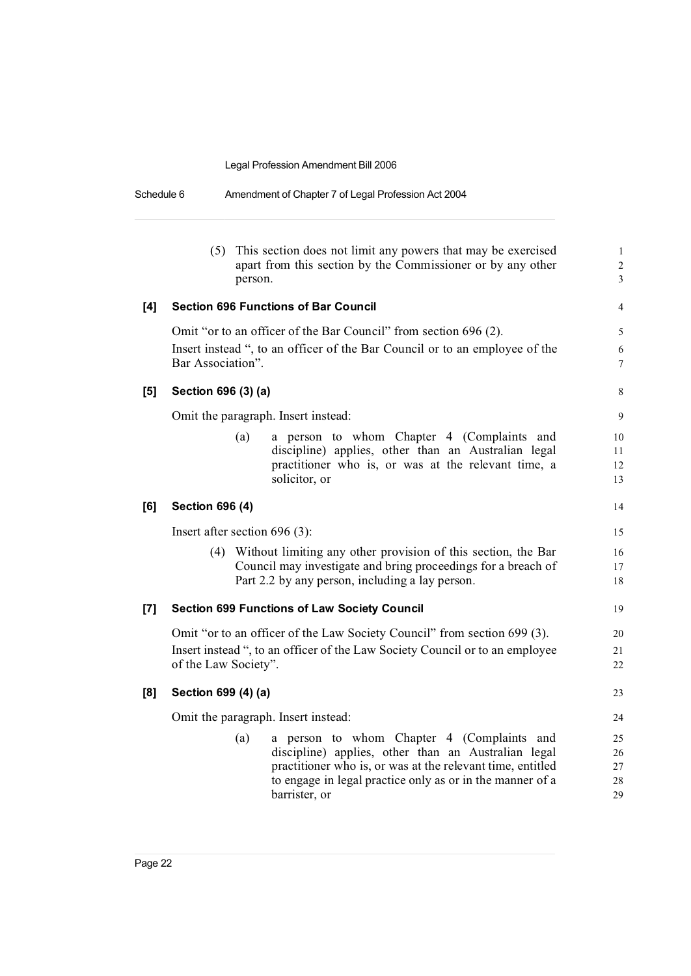| Schedule 6 | Amendment of Chapter 7 of Legal Profession Act 2004 |
|------------|-----------------------------------------------------|
|            |                                                     |

|     | (5)                             | person. | This section does not limit any powers that may be exercised<br>apart from this section by the Commissioner or by any other | $\mathbf{1}$<br>$\sqrt{2}$<br>3 |
|-----|---------------------------------|---------|-----------------------------------------------------------------------------------------------------------------------------|---------------------------------|
| [4] |                                 |         | <b>Section 696 Functions of Bar Council</b>                                                                                 | 4                               |
|     |                                 |         | Omit "or to an officer of the Bar Council" from section 696 (2).                                                            | 5                               |
|     | Bar Association".               |         | Insert instead ", to an officer of the Bar Council or to an employee of the                                                 | 6<br>7                          |
| [5] | Section 696 (3) (a)             |         |                                                                                                                             | 8                               |
|     |                                 |         | Omit the paragraph. Insert instead:                                                                                         | 9                               |
|     |                                 | (a)     | a person to whom Chapter 4 (Complaints and<br>discipline) applies, other than an Australian legal                           | 10<br>11                        |
|     |                                 |         | practitioner who is, or was at the relevant time, a                                                                         | 12                              |
|     |                                 |         | solicitor, or                                                                                                               | 13                              |
| [6] | <b>Section 696 (4)</b>          |         |                                                                                                                             | 14                              |
|     | Insert after section $696(3)$ : |         |                                                                                                                             | 15                              |
|     |                                 |         | (4) Without limiting any other provision of this section, the Bar                                                           | 16                              |
|     |                                 |         | Council may investigate and bring proceedings for a breach of<br>Part 2.2 by any person, including a lay person.            | 17<br>18                        |
|     |                                 |         |                                                                                                                             |                                 |
| [7] |                                 |         | <b>Section 699 Functions of Law Society Council</b>                                                                         | 19                              |
|     |                                 |         | Omit "or to an officer of the Law Society Council" from section 699 (3).                                                    | 20                              |
|     |                                 |         | Insert instead ", to an officer of the Law Society Council or to an employee                                                | 21                              |
|     | of the Law Society".            |         |                                                                                                                             | 22                              |
| [8] | Section 699 (4) (a)             |         |                                                                                                                             | 23                              |
|     |                                 |         | Omit the paragraph. Insert instead:                                                                                         | 24                              |
|     |                                 | (a)     | a person to whom Chapter 4 (Complaints and                                                                                  | 25                              |
|     |                                 |         | discipline) applies, other than an Australian legal                                                                         | 26                              |
|     |                                 |         | practitioner who is, or was at the relevant time, entitled                                                                  | 27                              |
|     |                                 |         | to engage in legal practice only as or in the manner of a                                                                   | 28<br>29                        |
|     |                                 |         | barrister, or                                                                                                               |                                 |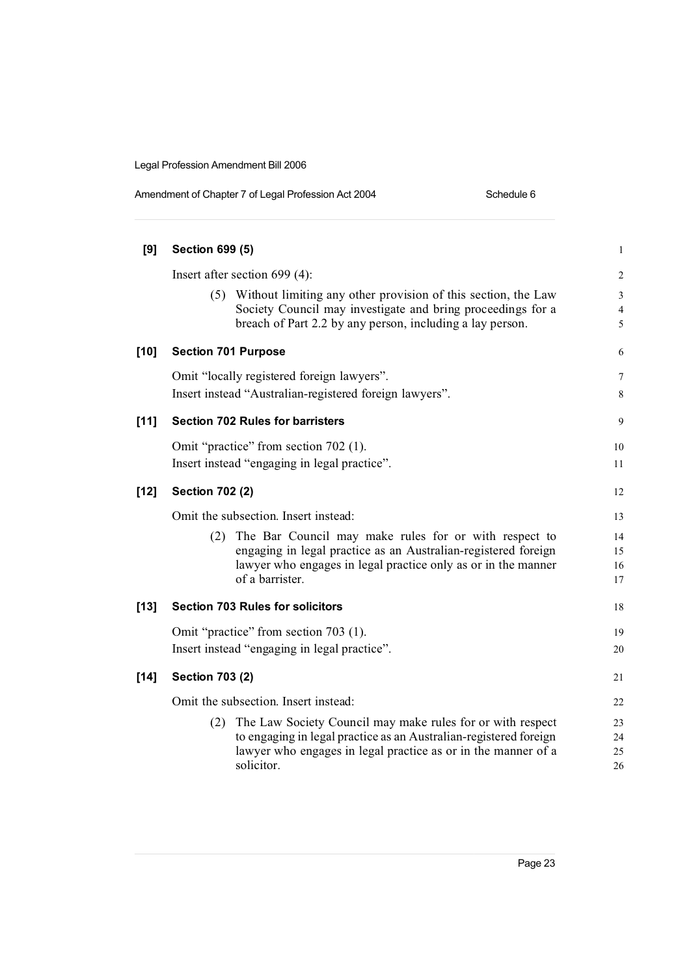| Amendment of Chapter 7 of Legal Profession Act 2004 | Schedule 6 |
|-----------------------------------------------------|------------|
|                                                     |            |

| [9]    | <b>Section 699 (5)</b>                                                                                                                                                                        | $\mathbf{1}$             |
|--------|-----------------------------------------------------------------------------------------------------------------------------------------------------------------------------------------------|--------------------------|
|        | Insert after section $699(4)$ :                                                                                                                                                               | 2                        |
|        | (5) Without limiting any other provision of this section, the Law<br>Society Council may investigate and bring proceedings for a<br>breach of Part 2.2 by any person, including a lay person. | 3<br>$\overline{4}$<br>5 |
| $[10]$ | <b>Section 701 Purpose</b>                                                                                                                                                                    | 6                        |
|        | Omit "locally registered foreign lawyers".                                                                                                                                                    | 7                        |
|        | Insert instead "Australian-registered foreign lawyers".                                                                                                                                       | 8                        |
| $[11]$ | <b>Section 702 Rules for barristers</b>                                                                                                                                                       | 9                        |
|        | Omit "practice" from section 702 (1).                                                                                                                                                         | 10                       |
|        | Insert instead "engaging in legal practice".                                                                                                                                                  | 11                       |
| $[12]$ | <b>Section 702 (2)</b>                                                                                                                                                                        | 12                       |
|        | Omit the subsection. Insert instead:                                                                                                                                                          | 13                       |
|        | (2) The Bar Council may make rules for or with respect to                                                                                                                                     | 14                       |
|        | engaging in legal practice as an Australian-registered foreign<br>lawyer who engages in legal practice only as or in the manner                                                               | 15<br>16                 |
|        | of a barrister.                                                                                                                                                                               | 17                       |
| $[13]$ | <b>Section 703 Rules for solicitors</b>                                                                                                                                                       | 18                       |
|        | Omit "practice" from section 703 (1).                                                                                                                                                         | 19                       |
|        | Insert instead "engaging in legal practice".                                                                                                                                                  | 20                       |
| $[14]$ | <b>Section 703 (2)</b>                                                                                                                                                                        | 21                       |
|        | Omit the subsection. Insert instead:                                                                                                                                                          | 22                       |
|        | (2) The Law Society Council may make rules for or with respect                                                                                                                                | 23                       |
|        | to engaging in legal practice as an Australian-registered foreign                                                                                                                             | 24                       |
|        | lawyer who engages in legal practice as or in the manner of a                                                                                                                                 | 25                       |
|        | solicitor.                                                                                                                                                                                    | 26                       |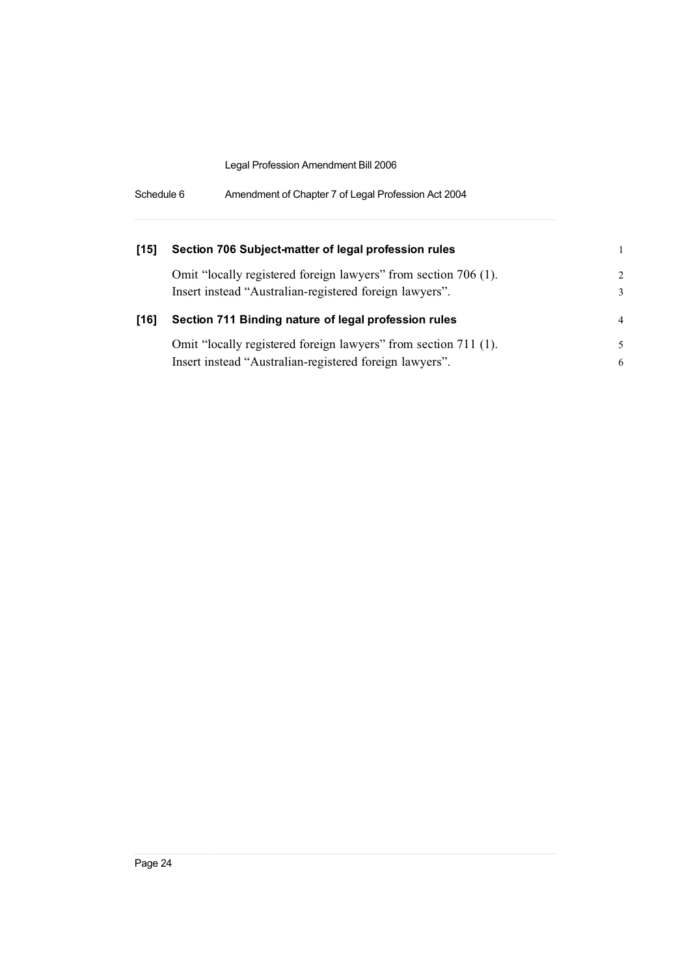| Schedule 6 | Amendment of Chapter 7 of Legal Profession Act 2004 |
|------------|-----------------------------------------------------|
|------------|-----------------------------------------------------|

| [15] | Section 706 Subject-matter of legal profession rules            |                |
|------|-----------------------------------------------------------------|----------------|
|      | Omit "locally registered foreign lawyers" from section 706 (1). | $\mathcal{L}$  |
|      | Insert instead "Australian-registered foreign lawyers".         | 3              |
|      |                                                                 |                |
| [16] | Section 711 Binding nature of legal profession rules            | $\overline{4}$ |
|      | Omit "locally registered foreign lawyers" from section 711 (1). | 5              |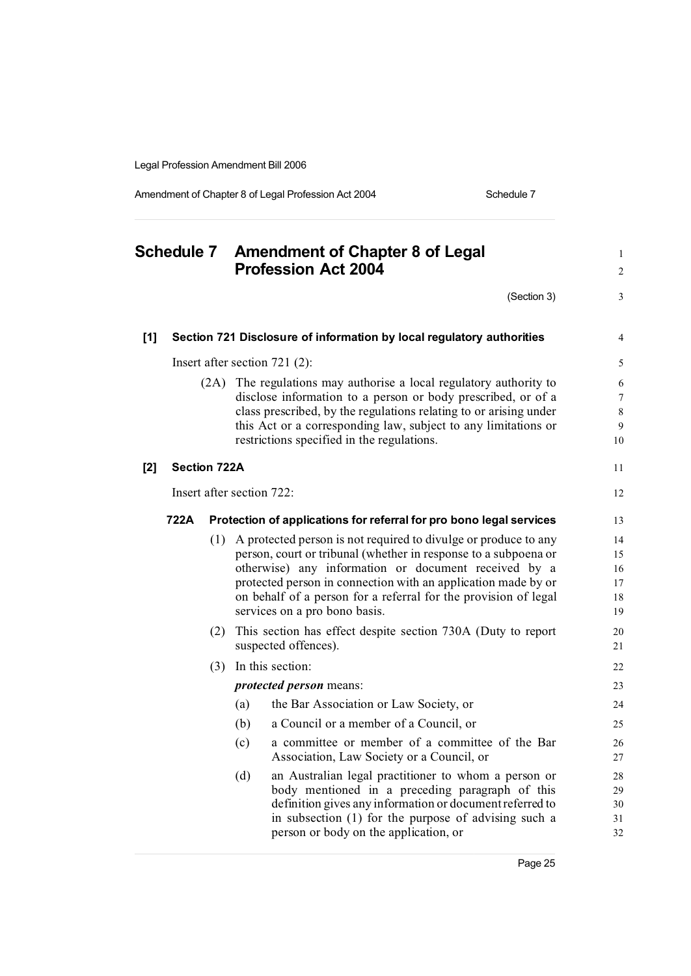Amendment of Chapter 8 of Legal Profession Act 2004 Schedule 7

| <b>Schedule 7</b> |                     | <b>Amendment of Chapter 8 of Legal</b><br><b>Profession Act 2004</b> |                           | $\mathbf{1}$<br>$\overline{\mathbf{c}}$                                                                                                                                                                                                                                                                                                                         |                                  |
|-------------------|---------------------|----------------------------------------------------------------------|---------------------------|-----------------------------------------------------------------------------------------------------------------------------------------------------------------------------------------------------------------------------------------------------------------------------------------------------------------------------------------------------------------|----------------------------------|
|                   |                     |                                                                      |                           | (Section 3)                                                                                                                                                                                                                                                                                                                                                     | 3                                |
| [1]               |                     |                                                                      |                           | Section 721 Disclosure of information by local regulatory authorities                                                                                                                                                                                                                                                                                           | $\overline{4}$                   |
|                   |                     |                                                                      |                           | Insert after section $721$ (2):                                                                                                                                                                                                                                                                                                                                 | 5                                |
|                   |                     | (2A)                                                                 |                           | The regulations may authorise a local regulatory authority to<br>disclose information to a person or body prescribed, or of a<br>class prescribed, by the regulations relating to or arising under<br>this Act or a corresponding law, subject to any limitations or<br>restrictions specified in the regulations.                                              | 6<br>7<br>8<br>9<br>10           |
| $[2]$             | <b>Section 722A</b> |                                                                      |                           |                                                                                                                                                                                                                                                                                                                                                                 | 11                               |
|                   |                     |                                                                      | Insert after section 722: |                                                                                                                                                                                                                                                                                                                                                                 | 12                               |
|                   | 722A                |                                                                      |                           | Protection of applications for referral for pro bono legal services                                                                                                                                                                                                                                                                                             | 13                               |
|                   |                     | (1)                                                                  |                           | A protected person is not required to divulge or produce to any<br>person, court or tribunal (whether in response to a subpoena or<br>otherwise) any information or document received by a<br>protected person in connection with an application made by or<br>on behalf of a person for a referral for the provision of legal<br>services on a pro bono basis. | 14<br>15<br>16<br>17<br>18<br>19 |
|                   |                     | (2)                                                                  |                           | This section has effect despite section 730A (Duty to report<br>suspected offences).                                                                                                                                                                                                                                                                            | 20<br>21                         |
|                   |                     | (3)                                                                  |                           | In this section:                                                                                                                                                                                                                                                                                                                                                | 22                               |
|                   |                     |                                                                      |                           | <i>protected person</i> means:                                                                                                                                                                                                                                                                                                                                  | 23                               |
|                   |                     |                                                                      | (a)                       | the Bar Association or Law Society, or                                                                                                                                                                                                                                                                                                                          | 24                               |
|                   |                     |                                                                      | (b)                       | a Council or a member of a Council, or                                                                                                                                                                                                                                                                                                                          | 25                               |
|                   |                     |                                                                      | (c)                       | a committee or member of a committee of the Bar<br>Association, Law Society or a Council, or                                                                                                                                                                                                                                                                    | 26<br>27                         |
|                   |                     |                                                                      | (d)                       | an Australian legal practitioner to whom a person or<br>body mentioned in a preceding paragraph of this<br>definition gives any information or document referred to<br>in subsection (1) for the purpose of advising such a<br>person or body on the application, or                                                                                            | 28<br>29<br>30<br>31<br>32       |

Page 25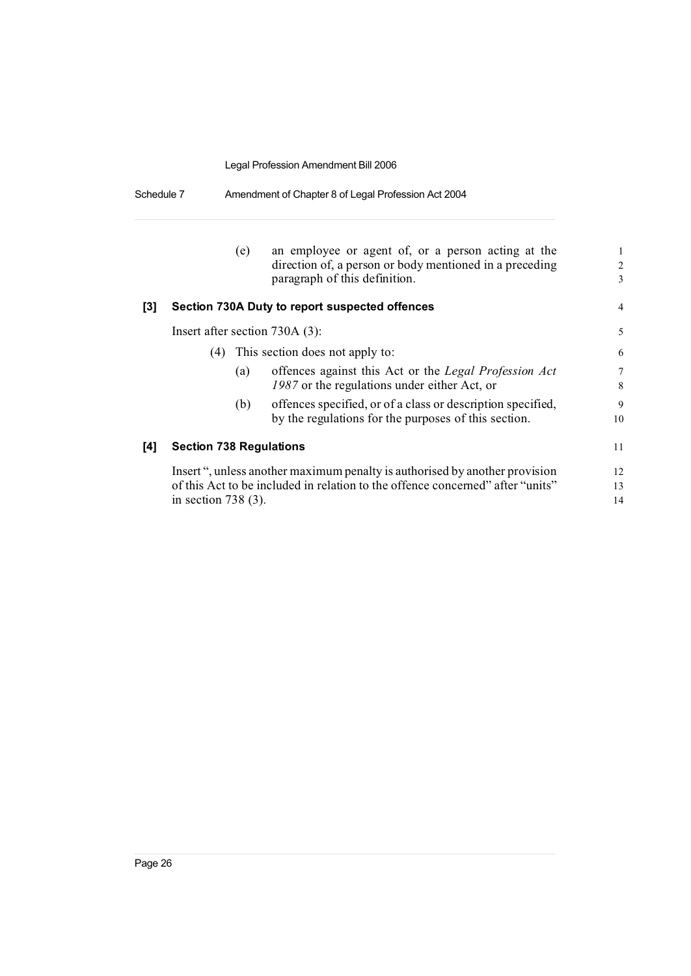|  | Schedule 7 | Amendment of Chapter 8 of Legal Profession Act 2004 |  |
|--|------------|-----------------------------------------------------|--|
|--|------------|-----------------------------------------------------|--|

|     |                                | (e) | an employee or agent of, or a person acting at the<br>direction of, a person or body mentioned in a preceding<br>paragraph of this definition.                | 1<br>$\overline{c}$<br>3 |
|-----|--------------------------------|-----|---------------------------------------------------------------------------------------------------------------------------------------------------------------|--------------------------|
| [3] |                                |     | Section 730A Duty to report suspected offences                                                                                                                | 4                        |
|     |                                |     | Insert after section $730A(3)$ :                                                                                                                              | 5                        |
|     |                                |     | (4) This section does not apply to:                                                                                                                           | 6                        |
|     |                                | (a) | offences against this Act or the Legal Profession Act<br>1987 or the regulations under either Act, or                                                         | 7<br>8                   |
|     |                                | (b) | offences specified, or of a class or description specified,<br>by the regulations for the purposes of this section.                                           | 9<br>10                  |
| [4] | <b>Section 738 Regulations</b> |     |                                                                                                                                                               | 11                       |
|     | in section $738(3)$ .          |     | Insert ", unless another maximum penalty is authorised by another provision<br>of this Act to be included in relation to the offence concerned" after "units" | 12<br>13<br>14           |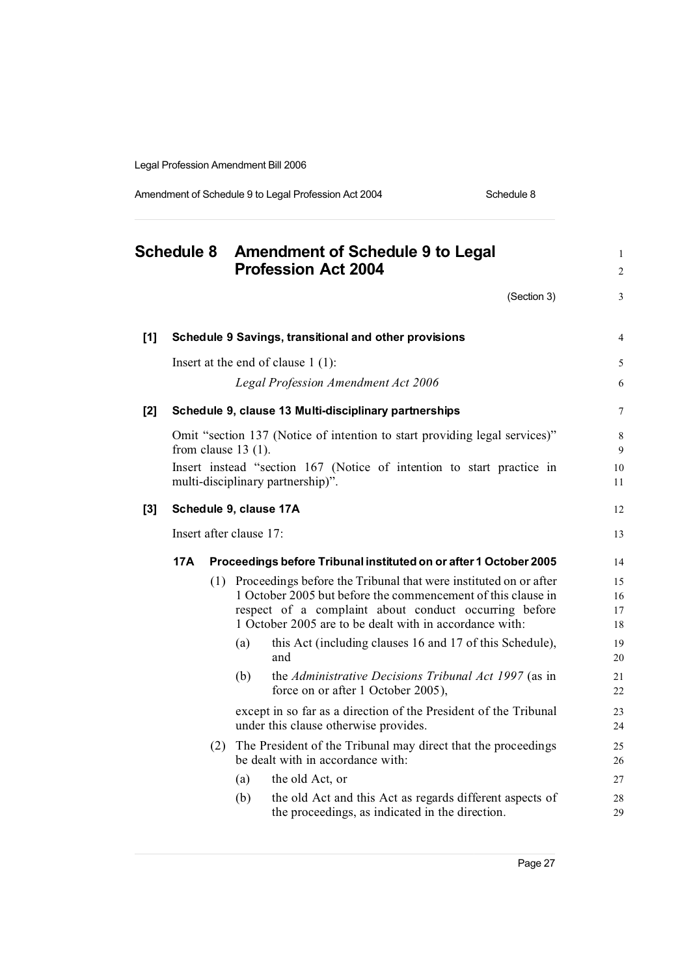Amendment of Schedule 9 to Legal Profession Act 2004 Schedule 8

|       | <b>Schedule 8</b> |     |                         | <b>Amendment of Schedule 9 to Legal</b><br><b>Profession Act 2004</b>                                                                                                                                                                                    | $\mathbf{1}$<br>$\overline{2}$ |
|-------|-------------------|-----|-------------------------|----------------------------------------------------------------------------------------------------------------------------------------------------------------------------------------------------------------------------------------------------------|--------------------------------|
|       |                   |     |                         | (Section 3)                                                                                                                                                                                                                                              | 3                              |
| [1]   |                   |     |                         | Schedule 9 Savings, transitional and other provisions                                                                                                                                                                                                    | $\overline{4}$                 |
|       |                   |     |                         | Insert at the end of clause $1(1)$ :                                                                                                                                                                                                                     | 5                              |
|       |                   |     |                         | <b>Legal Profession Amendment Act 2006</b>                                                                                                                                                                                                               | 6                              |
| $[2]$ |                   |     |                         | Schedule 9, clause 13 Multi-disciplinary partnerships                                                                                                                                                                                                    | 7                              |
|       |                   |     | from clause $13(1)$ .   | Omit "section 137 (Notice of intention to start providing legal services)"                                                                                                                                                                               | 8<br>9                         |
|       |                   |     |                         | Insert instead "section 167 (Notice of intention to start practice in<br>multi-disciplinary partnership)".                                                                                                                                               | 10<br>11                       |
| $[3]$ |                   |     |                         | Schedule 9, clause 17A                                                                                                                                                                                                                                   | 12                             |
|       |                   |     | Insert after clause 17: |                                                                                                                                                                                                                                                          | 13                             |
|       | 17A               |     |                         | Proceedings before Tribunal instituted on or after 1 October 2005                                                                                                                                                                                        | 14                             |
|       |                   |     |                         | (1) Proceedings before the Tribunal that were instituted on or after<br>1 October 2005 but before the commencement of this clause in<br>respect of a complaint about conduct occurring before<br>1 October 2005 are to be dealt with in accordance with: | 15<br>16<br>17<br>18           |
|       |                   |     | (a)                     | this Act (including clauses 16 and 17 of this Schedule),<br>and                                                                                                                                                                                          | 19<br>20                       |
|       |                   |     | (b)                     | the Administrative Decisions Tribunal Act 1997 (as in<br>force on or after 1 October 2005),                                                                                                                                                              | 21<br>22                       |
|       |                   |     |                         | except in so far as a direction of the President of the Tribunal<br>under this clause otherwise provides.                                                                                                                                                | 23<br>24                       |
|       |                   | (2) |                         | The President of the Tribunal may direct that the proceedings<br>be dealt with in accordance with:                                                                                                                                                       | 25<br>26                       |
|       |                   |     | (a)                     | the old Act, or                                                                                                                                                                                                                                          | 27                             |
|       |                   |     | (b)                     | the old Act and this Act as regards different aspects of<br>the proceedings, as indicated in the direction.                                                                                                                                              | 28<br>29                       |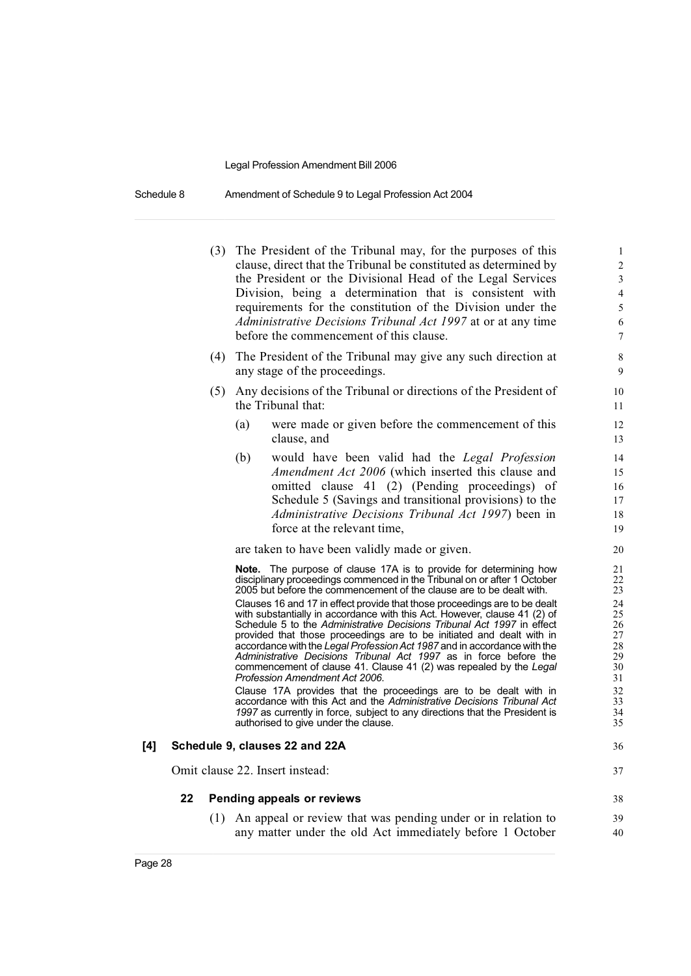Schedule 8 Amendment of Schedule 9 to Legal Profession Act 2004

- (3) The President of the Tribunal may, for the purposes of this 1 clause, direct that the Tribunal be constituted as determined by 2 the President or the Divisional Head of the Legal Services 3 Division, being a determination that is consistent with 4 requirements for the constitution of the Division under the 5 *Administrative Decisions Tribunal Act 1997* at or at any time 6 before the commencement of this clause.  $\frac{7}{2}$
- (4) The President of the Tribunal may give any such direction at 8 any stage of the proceedings.
- (5) Any decisions of the Tribunal or directions of the President of 10 the Tribunal that: 11
	- (a) were made or given before the commencement of this 12 clause, and 13
	- (b) would have been valid had the *Legal Profession* 14 *Amendment Act* 2006 (which inserted this clause and 15 omitted clause 41 (2) (Pending proceedings) of 16 Schedule 5 (Savings and transitional provisions) to the 17 *Administrative Decisions Tribunal Act 1997*) been in 18 force at the relevant time, 19

are taken to have been validly made or given. 20

**Note.** The purpose of clause 17A is to provide for determining how 21<br>disciplinary proceedings commenced in the Tribunal on or after 1 October 22 disciplinary proceedings commenced in the Tribunal on or after 1 October 22<br>2005 but before the commencement of the clause are to be dealt with. 2005 but before the commencement of the clause are to be dealt with.

Clauses 16 and 17 in effect provide that those proceedings are to be dealt 24<br>with substantially in accordance with this Act. However, clause 41 (2) of 25 with substantially in accordance with this Act. However, clause 41 (2) of 25<br>Schedule 5 to the Administrative Decisions Tribunal Act 1997 in effect 26 Schedule 5 to the *Administrative Decisions Tribunal Act 1997* in effect 26 provided that those proceedings are to be initiated and dealt with in  $27$ <br>accordance with the Legal Profession Act 1987 and in accordance with the  $28$ accordance with the *Legal Profession Act* 1987 and in accordance with the 28<br>Administrative Decisions Tribunal Act 1997 as in force before the 29 *Administrative Decisions Tribunal Act 1997* as in force before the 29 commencement of clause 41. Clause 41 (2) was repealed by the *Legal* 30<br>Profession Amendment Act 2006. **Profession Amendment Act 2006.** 31<br>Clause 17A provides that the proceedings are to be dealt with in 32

Clause 17A provides that the proceedings are to be dealt with in 32<br>accordance with this Act and the Administrative Decisions Tribunal Act 33 accordance with this Act and the *Administrative Decisions Tribunal Act* 33 *1997* as currently in force, subject to any directions that the President is  $34$  authorised to give under the clause. authorised to give under the clause.

#### **[4] Schedule 9, clauses 22 and 22A** 36

Omit clause 22. Insert instead: 37

#### **22 Pending appeals or reviews** 38

(1) An appeal or review that was pending under or in relation to 39 any matter under the old Act immediately before 1 October 40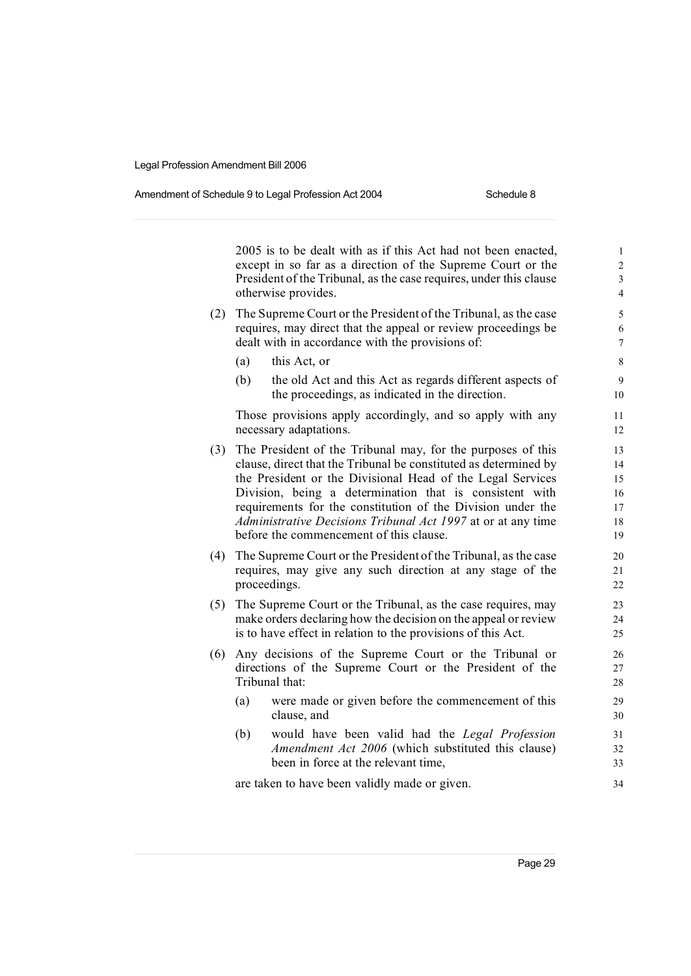#### Amendment of Schedule 9 to Legal Profession Act 2004 Schedule 8

2005 is to be dealt with as if this Act had not been enacted.  $\frac{1}{1}$ except in so far as a direction of the Supreme Court or the 2 President of the Tribunal, as the case requires, under this clause 3 otherwise provides. 4

- (2) The Supreme Court or the President of the Tribunal, as the case 5 requires, may direct that the appeal or review proceedings be 6 dealt with in accordance with the provisions of: 7
	- (a) this Act, or  $\qquad \qquad$  8
	- (b) the old Act and this Act as regards different aspects of 9 the proceedings, as indicated in the direction. 10

Those provisions apply accordingly, and so apply with any 11 necessary adaptations. 12

- (3) The President of the Tribunal may, for the purposes of this 13 clause, direct that the Tribunal be constituted as determined by 14 the President or the Divisional Head of the Legal Services 15 Division, being a determination that is consistent with 16 requirements for the constitution of the Division under the 17 *Administrative Decisions Tribunal Act 1997* at or at any time 18 before the commencement of this clause. 19
- (4) The Supreme Court or the President of the Tribunal, as the case 20 requires, may give any such direction at any stage of the 21 proceedings. 22
- (5) The Supreme Court or the Tribunal, as the case requires, may 23 make orders declaring how the decision on the appeal or review 24 is to have effect in relation to the provisions of this Act. 25
- (6) Any decisions of the Supreme Court or the Tribunal or 26 directions of the Supreme Court or the President of the 27 Tribunal that: 28
	- (a) were made or given before the commencement of this 29 clause, and 30
	- (b) would have been valid had the *Legal Profession* 31 *Amendment Act 2006* (which substituted this clause) 32 been in force at the relevant time. 33

are taken to have been validly made or given.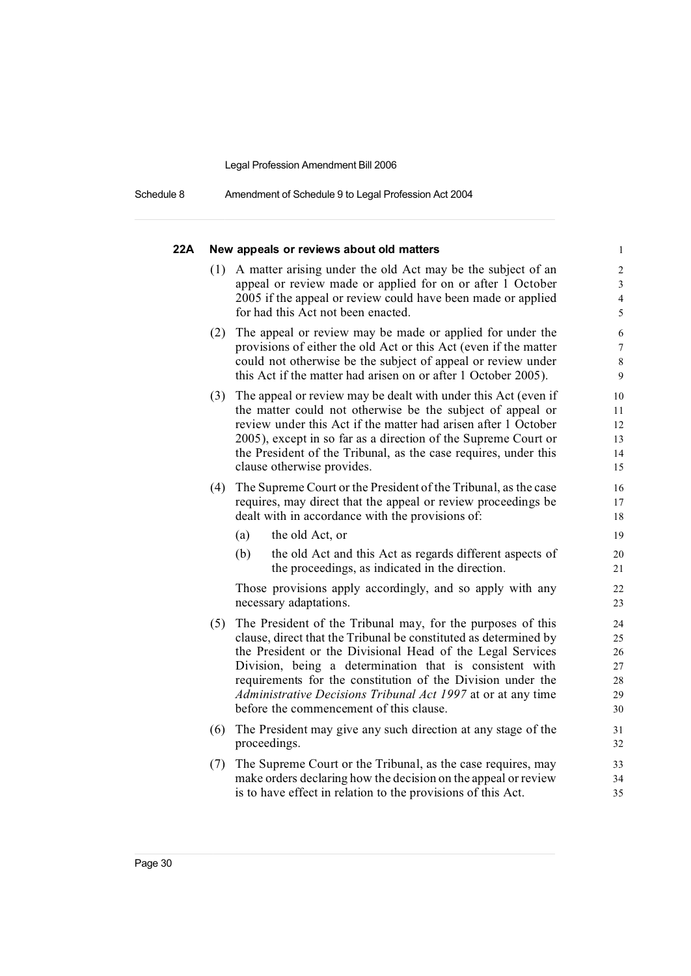Schedule 8 Amendment of Schedule 9 to Legal Profession Act 2004

| 22A |     | New appeals or reviews about old matters                                                                                                                                                                                                                                                                                                                            | $\mathbf{1}$                                            |
|-----|-----|---------------------------------------------------------------------------------------------------------------------------------------------------------------------------------------------------------------------------------------------------------------------------------------------------------------------------------------------------------------------|---------------------------------------------------------|
|     | (1) | A matter arising under the old Act may be the subject of an<br>appeal or review made or applied for on or after 1 October<br>2005 if the appeal or review could have been made or applied<br>for had this Act not been enacted.                                                                                                                                     | $\overline{c}$<br>$\mathfrak{Z}$<br>$\overline{4}$<br>5 |
|     | (2) | The appeal or review may be made or applied for under the<br>provisions of either the old Act or this Act (even if the matter<br>could not otherwise be the subject of appeal or review under<br>this Act if the matter had arisen on or after 1 October 2005).                                                                                                     | $\sqrt{6}$<br>$\tau$<br>$8\,$<br>9                      |
|     | (3) | The appeal or review may be dealt with under this Act (even if<br>the matter could not otherwise be the subject of appeal or<br>review under this Act if the matter had arisen after 1 October<br>2005), except in so far as a direction of the Supreme Court or<br>the President of the Tribunal, as the case requires, under this<br>clause otherwise provides.   | 10<br>11<br>12<br>13<br>14<br>15                        |
|     | (4) | The Supreme Court or the President of the Tribunal, as the case<br>requires, may direct that the appeal or review proceedings be<br>dealt with in accordance with the provisions of:<br>(a)<br>the old Act, or<br>(b)<br>the old Act and this Act as regards different aspects of<br>the proceedings, as indicated in the direction.                                | 16<br>17<br>18<br>19<br>20<br>21                        |
|     | (5) | Those provisions apply accordingly, and so apply with any<br>necessary adaptations.<br>The President of the Tribunal may, for the purposes of this                                                                                                                                                                                                                  | 22<br>23<br>24                                          |
|     |     | clause, direct that the Tribunal be constituted as determined by<br>the President or the Divisional Head of the Legal Services<br>Division, being a determination that is consistent with<br>requirements for the constitution of the Division under the<br>Administrative Decisions Tribunal Act 1997 at or at any time<br>before the commencement of this clause. | 25<br>26<br>27<br>28<br>29<br>30                        |
|     | (6) | The President may give any such direction at any stage of the<br>proceedings.                                                                                                                                                                                                                                                                                       | 31<br>32                                                |
|     | (7) | The Supreme Court or the Tribunal, as the case requires, may<br>make orders declaring how the decision on the appeal or review<br>is to have effect in relation to the provisions of this Act.                                                                                                                                                                      | 33<br>34<br>35                                          |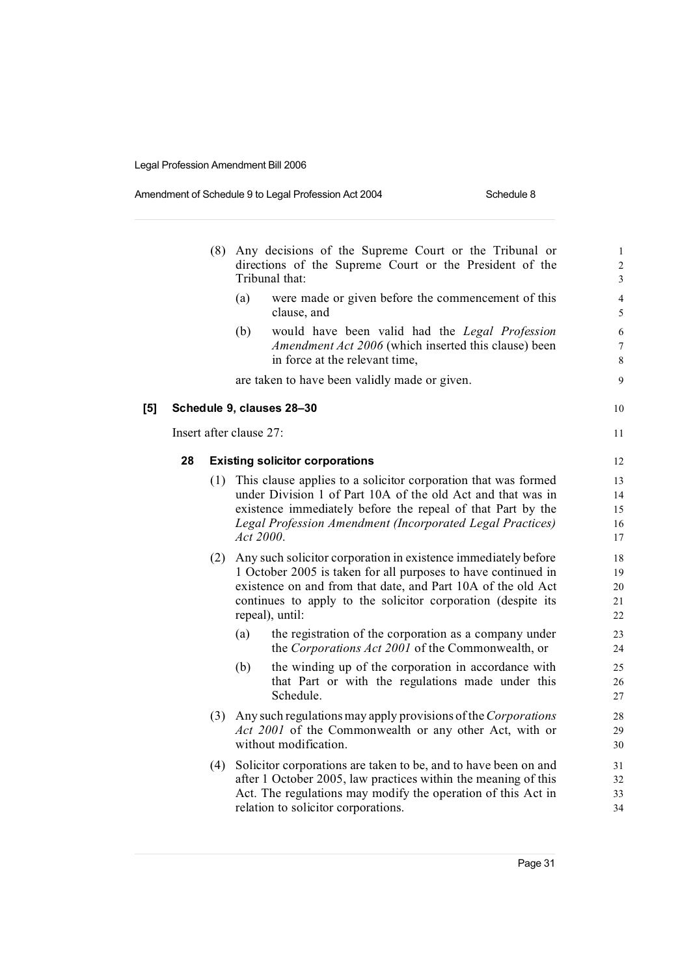## Amendment of Schedule 9 to Legal Profession Act 2004 Schedule 8

|     |    | (8) |                         | Any decisions of the Supreme Court or the Tribunal or<br>directions of the Supreme Court or the President of the<br>Tribunal that:                                                                                                                                                 | $\mathbf{1}$<br>$\overline{\mathbf{c}}$<br>3 |
|-----|----|-----|-------------------------|------------------------------------------------------------------------------------------------------------------------------------------------------------------------------------------------------------------------------------------------------------------------------------|----------------------------------------------|
|     |    |     | (a)                     | were made or given before the commencement of this<br>clause, and                                                                                                                                                                                                                  | $\overline{\mathcal{L}}$<br>5                |
|     |    |     | (b)                     | would have been valid had the Legal Profession<br>Amendment Act 2006 (which inserted this clause) been<br>in force at the relevant time,                                                                                                                                           | 6<br>7<br>8                                  |
|     |    |     |                         | are taken to have been validly made or given.                                                                                                                                                                                                                                      | 9                                            |
| [5] |    |     |                         | Schedule 9, clauses 28-30                                                                                                                                                                                                                                                          | 10                                           |
|     |    |     | Insert after clause 27: |                                                                                                                                                                                                                                                                                    | 11                                           |
|     | 28 |     |                         | <b>Existing solicitor corporations</b>                                                                                                                                                                                                                                             | 12                                           |
|     |    | (1) | Act 2000.               | This clause applies to a solicitor corporation that was formed<br>under Division 1 of Part 10A of the old Act and that was in<br>existence immediately before the repeal of that Part by the<br>Legal Profession Amendment (Incorporated Legal Practices)                          | 13<br>14<br>15<br>16<br>17                   |
|     |    | (2) |                         | Any such solicitor corporation in existence immediately before<br>1 October 2005 is taken for all purposes to have continued in<br>existence on and from that date, and Part 10A of the old Act<br>continues to apply to the solicitor corporation (despite its<br>repeal), until: | 18<br>19<br>20<br>21<br>22                   |
|     |    |     | (a)                     | the registration of the corporation as a company under<br>the Corporations Act 2001 of the Commonwealth, or                                                                                                                                                                        | 23<br>24                                     |
|     |    |     | (b)                     | the winding up of the corporation in accordance with<br>that Part or with the regulations made under this<br>Schedule.                                                                                                                                                             | 25<br>26<br>27                               |
|     |    |     |                         | (3) Any such regulations may apply provisions of the Corporations<br>Act 2001 of the Commonwealth or any other Act, with or<br>without modification.                                                                                                                               | 28<br>29<br>30                               |
|     |    |     |                         | (4) Solicitor corporations are taken to be, and to have been on and<br>after 1 October 2005, law practices within the meaning of this<br>Act. The regulations may modify the operation of this Act in<br>relation to solicitor corporations.                                       | 31<br>32<br>33<br>34                         |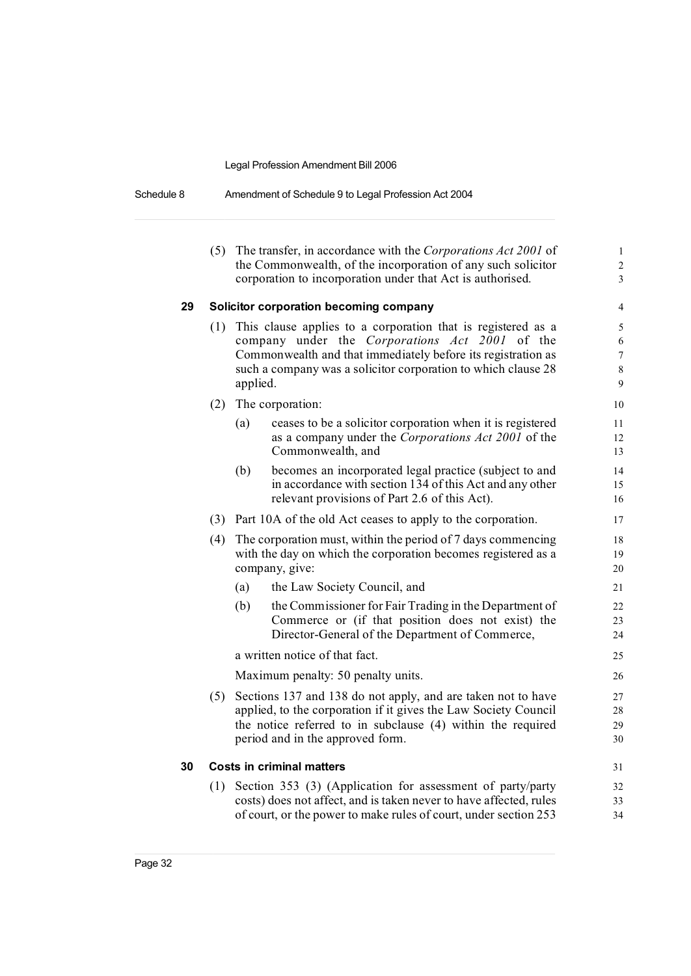| Schedule 8 | Amendment of Schedule 9 to Legal Profession Act 2004 |  |
|------------|------------------------------------------------------|--|
|------------|------------------------------------------------------|--|

|    |     |          | (5) The transfer, in accordance with the Corporations Act 2001 of<br>the Commonwealth, of the incorporation of any such solicitor<br>corporation to incorporation under that Act is authorised.                                                 | $\mathbf{1}$<br>$\overline{c}$<br>3 |
|----|-----|----------|-------------------------------------------------------------------------------------------------------------------------------------------------------------------------------------------------------------------------------------------------|-------------------------------------|
| 29 |     |          | Solicitor corporation becoming company                                                                                                                                                                                                          | 4                                   |
|    | (1) | applied. | This clause applies to a corporation that is registered as a<br>company under the Corporations Act 2001 of the<br>Commonwealth and that immediately before its registration as<br>such a company was a solicitor corporation to which clause 28 | 5<br>6<br>$\overline{7}$<br>8<br>9  |
|    | (2) |          | The corporation:                                                                                                                                                                                                                                | 10                                  |
|    |     | (a)      | ceases to be a solicitor corporation when it is registered<br>as a company under the Corporations Act 2001 of the<br>Commonwealth, and                                                                                                          | 11<br>12<br>13                      |
|    |     | (b)      | becomes an incorporated legal practice (subject to and<br>in accordance with section 134 of this Act and any other<br>relevant provisions of Part 2.6 of this Act).                                                                             | 14<br>15<br>16                      |
|    |     |          | (3) Part 10A of the old Act ceases to apply to the corporation.                                                                                                                                                                                 | 17                                  |
|    | (4) |          | The corporation must, within the period of 7 days commencing<br>with the day on which the corporation becomes registered as a<br>company, give:                                                                                                 | 18<br>19<br>20                      |
|    |     | (a)      | the Law Society Council, and                                                                                                                                                                                                                    | 21                                  |
|    |     | (b)      | the Commissioner for Fair Trading in the Department of<br>Commerce or (if that position does not exist) the<br>Director-General of the Department of Commerce,                                                                                  | 22<br>23<br>24                      |
|    |     |          | a written notice of that fact.                                                                                                                                                                                                                  | 25                                  |
|    |     |          | Maximum penalty: 50 penalty units.                                                                                                                                                                                                              | 26                                  |
|    | (5) |          | Sections 137 and 138 do not apply, and are taken not to have<br>applied, to the corporation if it gives the Law Society Council<br>the notice referred to in subclause (4) within the required<br>period and in the approved form.              | 27<br>28<br>29<br>30                |
| 30 |     |          | <b>Costs in criminal matters</b>                                                                                                                                                                                                                | 31                                  |
|    | (1) |          | Section 353 (3) (Application for assessment of party/party<br>costs) does not affect, and is taken never to have affected, rules<br>of court, or the power to make rules of court, under section 253                                            | 32<br>33<br>34                      |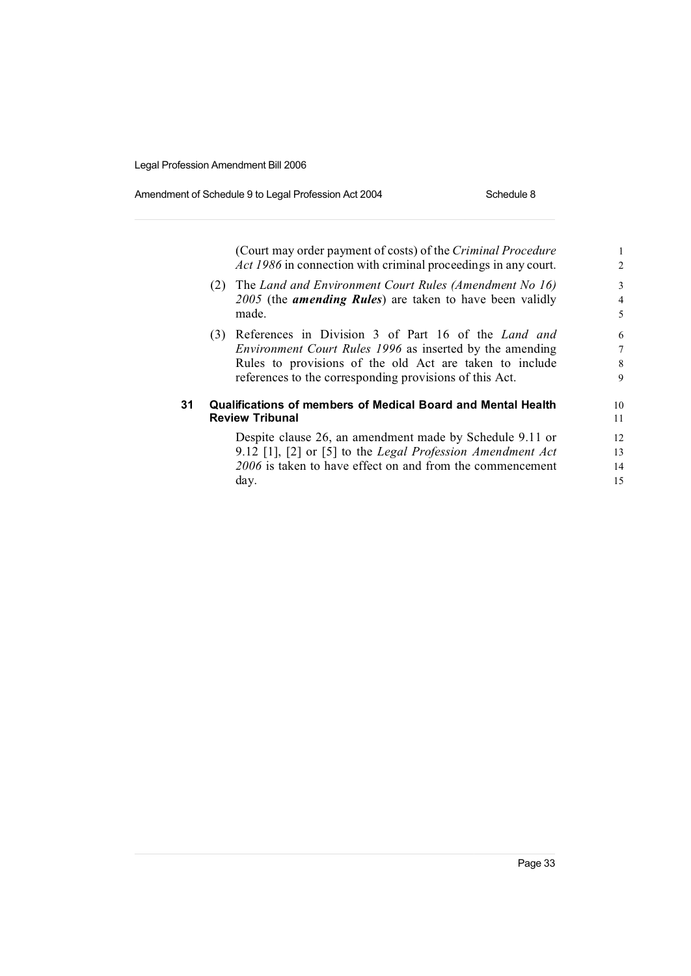## Amendment of Schedule 9 to Legal Profession Act 2004 Schedule 8

|    |     | (Court may order payment of costs) of the Criminal Procedure     | 1              |
|----|-----|------------------------------------------------------------------|----------------|
|    |     | Act 1986 in connection with criminal proceedings in any court.   | $\mathfrak{D}$ |
|    | (2) | The Land and Environment Court Rules (Amendment No 16)           | 3              |
|    |     | 2005 (the <b>amending Rules</b> ) are taken to have been validly | $\overline{4}$ |
|    |     | made.                                                            | 5              |
|    | (3) | References in Division 3 of Part 16 of the Land and              | 6              |
|    |     | <i>Environment Court Rules 1996</i> as inserted by the amending  | 7              |
|    |     | Rules to provisions of the old Act are taken to include          | 8              |
|    |     | references to the corresponding provisions of this Act.          | 9              |
| 31 |     | Qualifications of members of Medical Board and Mental Health     | 10             |
|    |     | <b>Review Tribunal</b>                                           | 11             |
|    |     | Despite clause 26, an amendment made by Schedule 9.11 or         | 12             |
|    |     | 9.12 [1], [2] or [5] to the Legal Profession Amendment Act       | 13             |
|    |     | 2006 is taken to have effect on and from the commencement        | 14             |
|    |     | day.                                                             | 15             |
|    |     |                                                                  |                |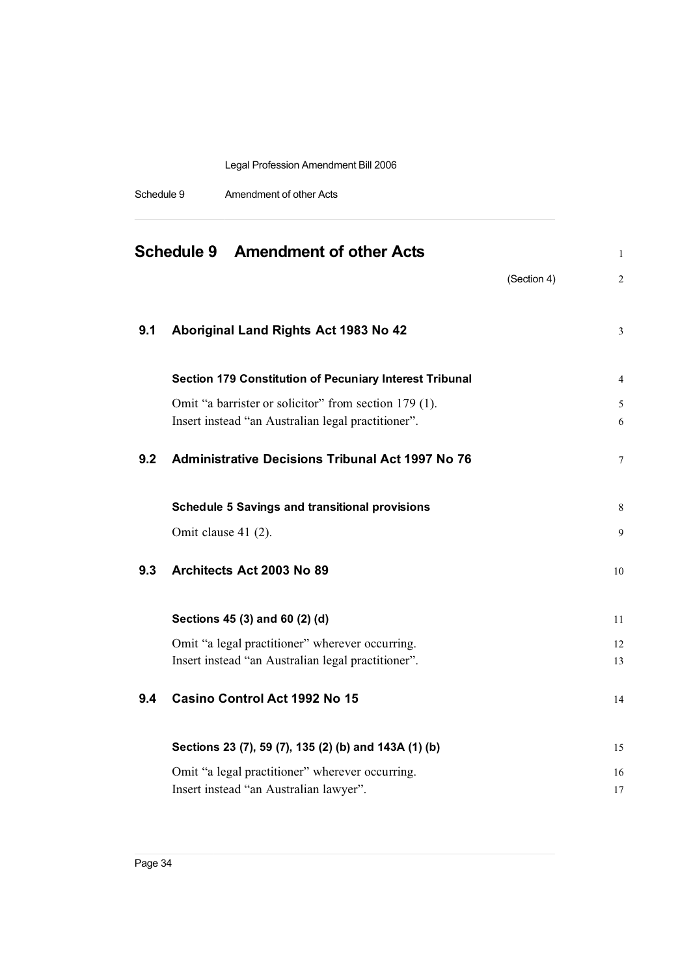| Schedule 9 | Amendment of other Acts |  |
|------------|-------------------------|--|
|------------|-------------------------|--|

|     | <b>Schedule 9 Amendment of other Acts</b>                      | $\mathbf{1}$     |
|-----|----------------------------------------------------------------|------------------|
|     |                                                                | (Section 4)<br>2 |
|     |                                                                |                  |
| 9.1 | Aboriginal Land Rights Act 1983 No 42                          | 3                |
|     | <b>Section 179 Constitution of Pecuniary Interest Tribunal</b> | $\overline{4}$   |
|     | Omit "a barrister or solicitor" from section 179 (1).          | 5                |
|     | Insert instead "an Australian legal practitioner".             | 6                |
| 9.2 | <b>Administrative Decisions Tribunal Act 1997 No 76</b>        | $\tau$           |
|     | <b>Schedule 5 Savings and transitional provisions</b>          | $\,8\,$          |
|     | Omit clause 41 (2).                                            | 9                |
| 9.3 | Architects Act 2003 No 89                                      | 10               |
|     | Sections 45 (3) and 60 (2) (d)                                 | 11               |
|     | Omit "a legal practitioner" wherever occurring.                | 12               |
|     | Insert instead "an Australian legal practitioner".             | 13               |
| 9.4 | Casino Control Act 1992 No 15                                  | 14               |
|     | Sections 23 (7), 59 (7), 135 (2) (b) and 143A (1) (b)          | 15               |
|     | Omit "a legal practitioner" wherever occurring.                | 16               |
|     | Insert instead "an Australian lawyer".                         | 17               |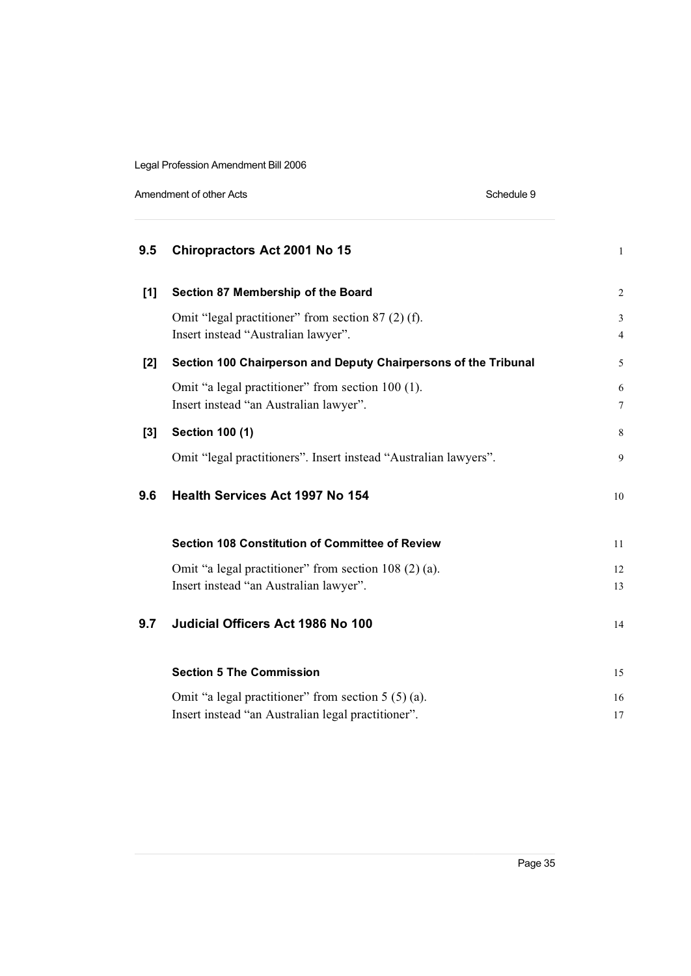Amendment of other Acts **Schedule 9** 

| 9.5   | <b>Chiropractors Act 2001 No 15</b>                                                       | $\mathbf{1}$        |
|-------|-------------------------------------------------------------------------------------------|---------------------|
| $[1]$ | Section 87 Membership of the Board                                                        | $\overline{2}$      |
|       | Omit "legal practitioner" from section 87 (2) (f).<br>Insert instead "Australian lawyer". | 3<br>$\overline{4}$ |
| $[2]$ | Section 100 Chairperson and Deputy Chairpersons of the Tribunal                           | 5                   |
|       | Omit "a legal practitioner" from section 100 (1).                                         | 6                   |
|       | Insert instead "an Australian lawyer".                                                    | 7                   |
| $[3]$ | <b>Section 100 (1)</b>                                                                    | 8                   |
|       | Omit "legal practitioners". Insert instead "Australian lawyers".                          | 9                   |
| 9.6   | <b>Health Services Act 1997 No 154</b>                                                    | 10                  |
|       | <b>Section 108 Constitution of Committee of Review</b>                                    | 11                  |
|       | Omit "a legal practitioner" from section 108 (2) (a).                                     | 12                  |
|       | Insert instead "an Australian lawyer".                                                    | 13                  |
| 9.7   | Judicial Officers Act 1986 No 100                                                         | 14                  |
|       | <b>Section 5 The Commission</b>                                                           | 15                  |
|       | Omit "a legal practitioner" from section $5(5)(a)$ .                                      | 16                  |
|       | Insert instead "an Australian legal practitioner".                                        | 17                  |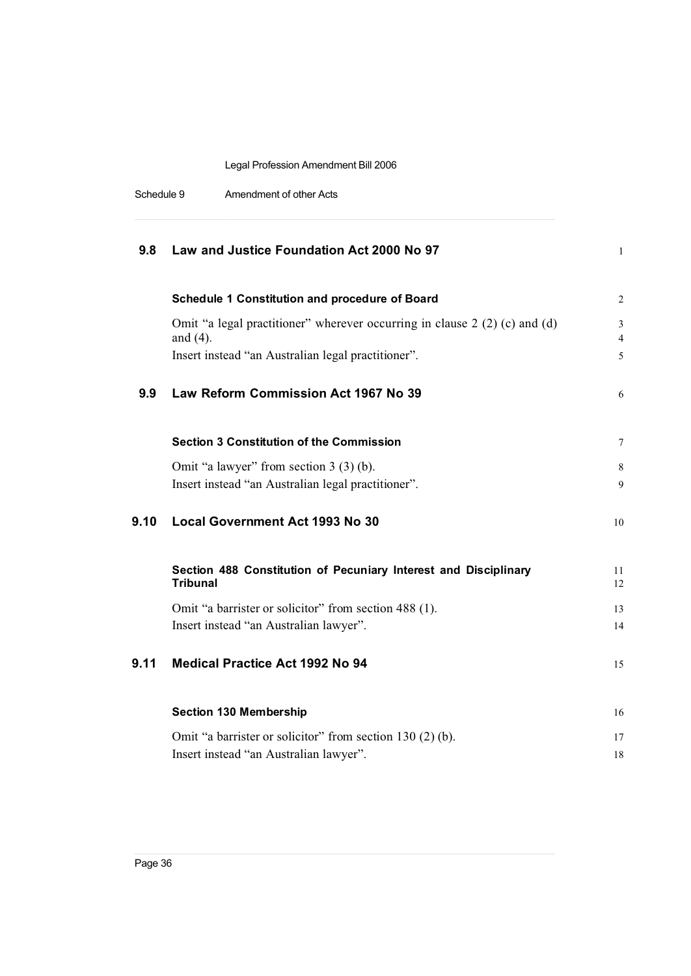| 9.8  | Law and Justice Foundation Act 2000 No 97                                                 | $\mathbf{1}$        |
|------|-------------------------------------------------------------------------------------------|---------------------|
|      | <b>Schedule 1 Constitution and procedure of Board</b>                                     | $\overline{2}$      |
|      | Omit "a legal practitioner" wherever occurring in clause $2(2)(c)$ and (d)<br>and $(4)$ . | 3<br>$\overline{4}$ |
|      | Insert instead "an Australian legal practitioner".                                        | 5                   |
| 9.9  | Law Reform Commission Act 1967 No 39                                                      | 6                   |
|      | <b>Section 3 Constitution of the Commission</b>                                           | $\tau$              |
|      | Omit "a lawyer" from section $3(3)(b)$ .                                                  | 8                   |
|      | Insert instead "an Australian legal practitioner".                                        | 9                   |
| 9.10 | <b>Local Government Act 1993 No 30</b>                                                    | 10                  |
|      | Section 488 Constitution of Pecuniary Interest and Disciplinary<br><b>Tribunal</b>        | 11<br>12            |
|      | Omit "a barrister or solicitor" from section 488 (1).                                     | 13                  |
|      | Insert instead "an Australian lawyer".                                                    | 14                  |
| 9.11 | Medical Practice Act 1992 No 94                                                           | 15                  |
|      | <b>Section 130 Membership</b>                                                             | 16                  |
|      | Omit "a barrister or solicitor" from section 130 (2) (b).                                 | 17                  |
|      | Insert instead "an Australian lawyer".                                                    | 18                  |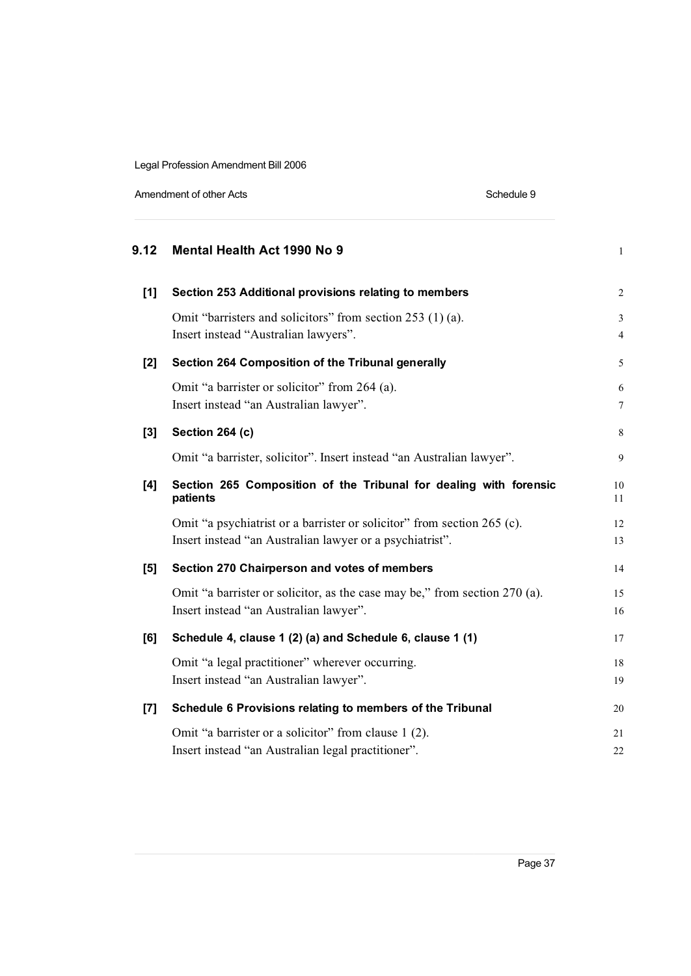Amendment of other Acts **Schedule 9** 

| 9.12  | Mental Health Act 1990 No 9                                                                                                         | $\mathbf{1}$        |
|-------|-------------------------------------------------------------------------------------------------------------------------------------|---------------------|
| [1]   | Section 253 Additional provisions relating to members                                                                               | $\overline{2}$      |
|       | Omit "barristers and solicitors" from section 253 (1)(a).<br>Insert instead "Australian lawyers".                                   | 3<br>$\overline{4}$ |
| [2]   | Section 264 Composition of the Tribunal generally                                                                                   | 5                   |
|       | Omit "a barrister or solicitor" from 264 (a).<br>Insert instead "an Australian lawyer".                                             | 6<br>7              |
| $[3]$ | Section 264 (c)                                                                                                                     | 8                   |
|       | Omit "a barrister, solicitor". Insert instead "an Australian lawyer".                                                               | 9                   |
| [4]   | Section 265 Composition of the Tribunal for dealing with forensic<br>patients                                                       | 10<br>11            |
|       | Omit "a psychiatrist or a barrister or solicitor" from section 265 (c).<br>Insert instead "an Australian lawyer or a psychiatrist". | 12<br>13            |
| [5]   | Section 270 Chairperson and votes of members                                                                                        | 14                  |
|       | Omit "a barrister or solicitor, as the case may be," from section 270 (a).<br>Insert instead "an Australian lawyer".                | 15<br>16            |
| [6]   | Schedule 4, clause 1 (2) (a) and Schedule 6, clause 1 (1)                                                                           | 17                  |
|       | Omit "a legal practitioner" wherever occurring.<br>Insert instead "an Australian lawyer".                                           | 18<br>19            |
| [7]   | Schedule 6 Provisions relating to members of the Tribunal                                                                           | 20                  |
|       | Omit "a barrister or a solicitor" from clause 1 (2).<br>Insert instead "an Australian legal practitioner".                          | 21<br>22            |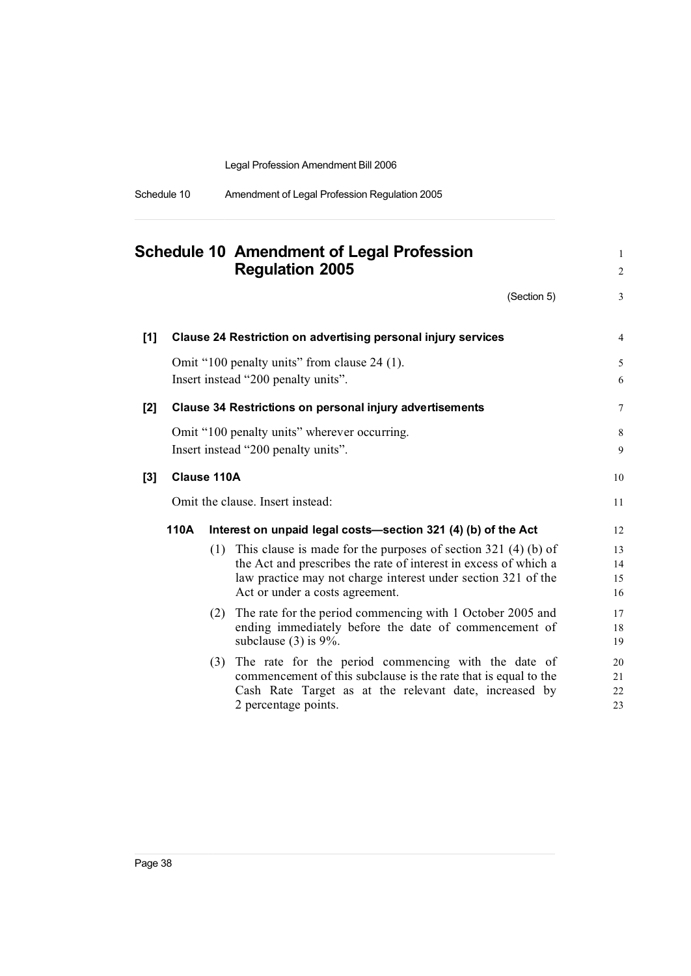| Schedule 10 | Amendment of Legal Profession Regulation 2005 |
|-------------|-----------------------------------------------|
|             |                                               |

|       |                    | <b>Schedule 10 Amendment of Legal Profession</b><br><b>Regulation 2005</b>                                                                                                                                                                   | $\mathbf{1}$<br>$\overline{2}$ |
|-------|--------------------|----------------------------------------------------------------------------------------------------------------------------------------------------------------------------------------------------------------------------------------------|--------------------------------|
|       |                    | (Section 5)                                                                                                                                                                                                                                  | 3                              |
| $[1]$ |                    | <b>Clause 24 Restriction on advertising personal injury services</b>                                                                                                                                                                         | $\overline{4}$                 |
|       |                    | Omit "100 penalty units" from clause 24 (1).<br>Insert instead "200 penalty units".                                                                                                                                                          | 5<br>6                         |
| $[2]$ |                    | <b>Clause 34 Restrictions on personal injury advertisements</b>                                                                                                                                                                              | $\tau$                         |
|       |                    | Omit "100 penalty units" wherever occurring.<br>Insert instead "200 penalty units".                                                                                                                                                          | 8<br>9                         |
| $[3]$ | <b>Clause 110A</b> |                                                                                                                                                                                                                                              | 10                             |
|       |                    | Omit the clause. Insert instead:                                                                                                                                                                                                             | 11                             |
|       | 110A               | Interest on unpaid legal costs-section 321 (4) (b) of the Act                                                                                                                                                                                | 12                             |
|       |                    | (1) This clause is made for the purposes of section $321$ (4) (b) of<br>the Act and prescribes the rate of interest in excess of which a<br>law practice may not charge interest under section 321 of the<br>Act or under a costs agreement. | 13<br>14<br>15<br>16           |
|       |                    | (2) The rate for the period commencing with 1 October 2005 and<br>ending immediately before the date of commencement of<br>subclause $(3)$ is 9%.                                                                                            | 17<br>18<br>19                 |
|       |                    | The rate for the period commencing with the date of<br>(3)<br>commencement of this subclause is the rate that is equal to the<br>Cash Rate Target as at the relevant date, increased by<br>2 percentage points.                              | 20<br>21<br>22<br>23           |